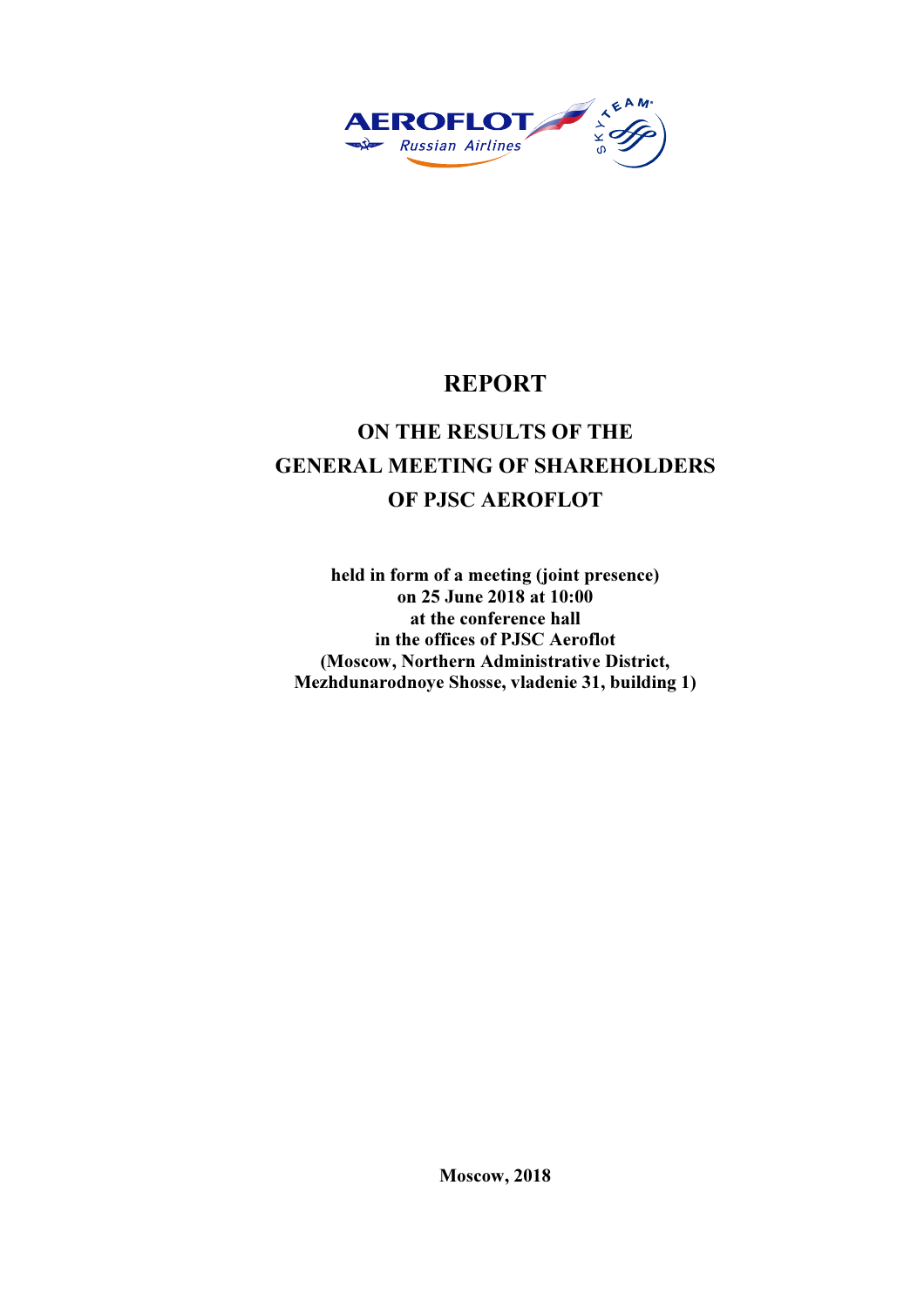

# REPORT

# ON THE RESULTS OF THE GENERAL MEETING OF SHAREHOLDERS OF PJSC AEROFLOT

held in form of a meeting (joint presence) on 25 June 2018 at 10:00 at the conference hall in the offices of PJSC Aeroflot (Moscow, Northern Administrative District, Mezhdunarodnoye Shosse, vladenie 31, building 1)

Moscow, 2018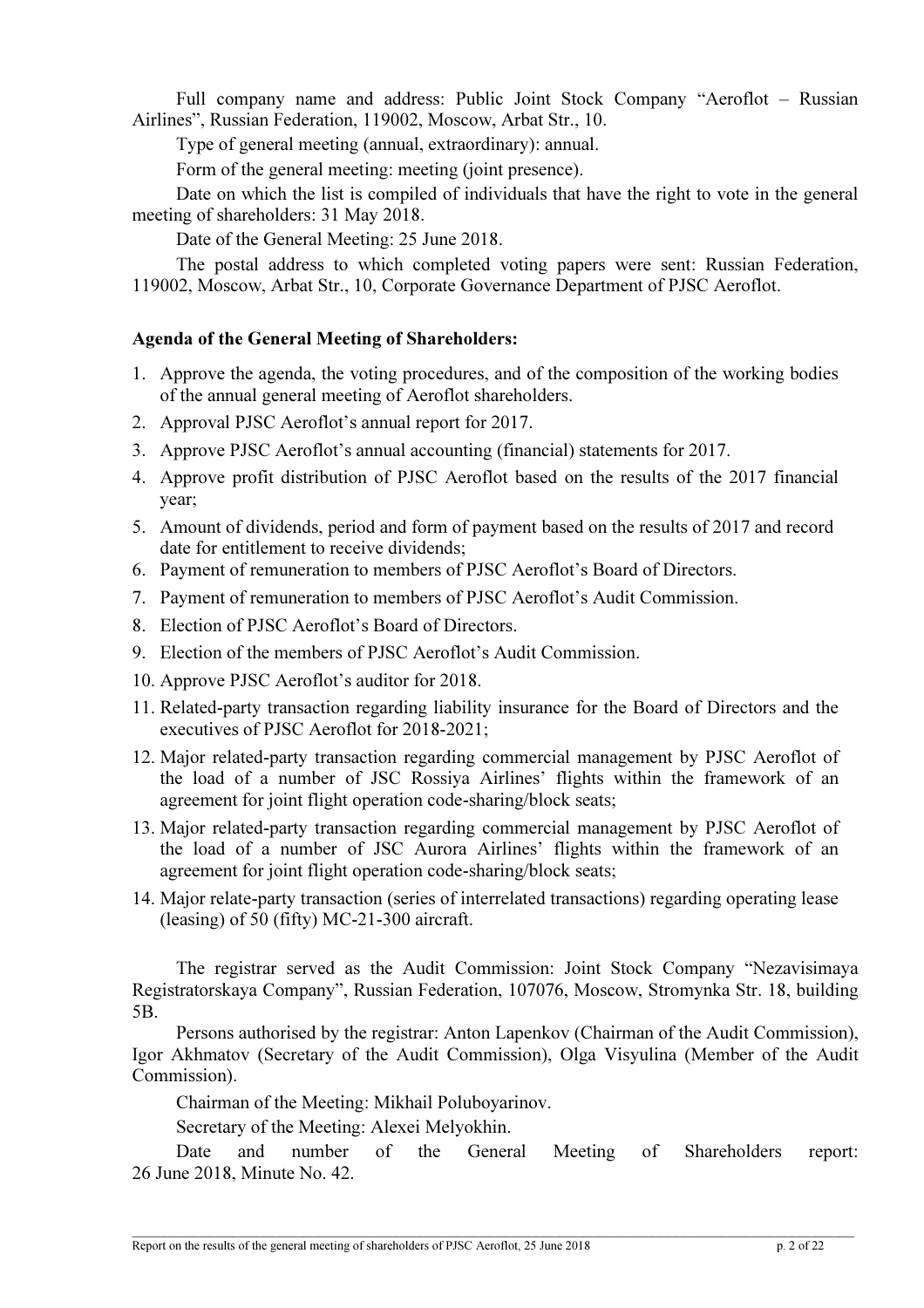Full company name and address: Public Joint Stock Company "Aeroflot – Russian Airlines", Russian Federation, 119002, Moscow, Arbat Str., 10.

Type of general meeting (annual, extraordinary): annual.

Form of the general meeting: meeting (joint presence).

Date on which the list is compiled of individuals that have the right to vote in the general meeting of shareholders: 31 May 2018.

Date of the General Meeting: 25 June 2018.

The postal address to which completed voting papers were sent: Russian Federation, 119002, Moscow, Arbat Str., 10, Corporate Governance Department of PJSC Aeroflot.

# Agenda of the General Meeting of Shareholders:

- 1. Approve the agenda, the voting procedures, and of the composition of the working bodies of the annual general meeting of Aeroflot shareholders.
- 2. Approval PJSC Aeroflot's annual report for 2017.
- 3. Approve PJSC Aeroflot's annual accounting (financial) statements for 2017.
- 4. Approve profit distribution of PJSC Aeroflot based on the results of the 2017 financial year;
- 5. Amount of dividends, period and form of payment based on the results of 2017 and record date for entitlement to receive dividends;
- 6. Payment of remuneration to members of PJSC Aeroflot's Board of Directors.
- 7. Payment of remuneration to members of PJSC Aeroflot's Audit Commission.
- 8. Election of PJSC Aeroflot's Board of Directors.
- 9. Election of the members of PJSC Aeroflot's Audit Commission.
- 10. Approve PJSC Aeroflot's auditor for 2018.
- 11. Related-party transaction regarding liability insurance for the Board of Directors and the executives of PJSC Aeroflot for 2018-2021;
- 12. Major related-party transaction regarding commercial management by PJSC Aeroflot of the load of a number of JSC Rossiya Airlines' flights within the framework of an agreement for joint flight operation code-sharing/block seats;
- 13. Major related-party transaction regarding commercial management by PJSC Aeroflot of the load of a number of JSC Aurora Airlines' flights within the framework of an agreement for joint flight operation code-sharing/block seats;
- 14. Major relate-party transaction (series of interrelated transactions) regarding operating lease (leasing) of 50 (fifty) МС-21-300 aircraft.

The registrar served as the Audit Commission: Joint Stock Company "Nezavisimaya Registratorskaya Company", Russian Federation, 107076, Moscow, Stromynka Str. 18, building 5B.

Persons authorised by the registrar: Anton Lapenkov (Chairman of the Audit Commission), Igor Akhmatov (Secretary of the Audit Commission), Olga Visyulina (Member of the Audit Commission).

Chairman of the Meeting: Mikhail Poluboyarinov.

Secretary of the Meeting: Alexei Melyokhin.

Date and number of the General Meeting of Shareholders report: 26 June 2018, Minute No. 42.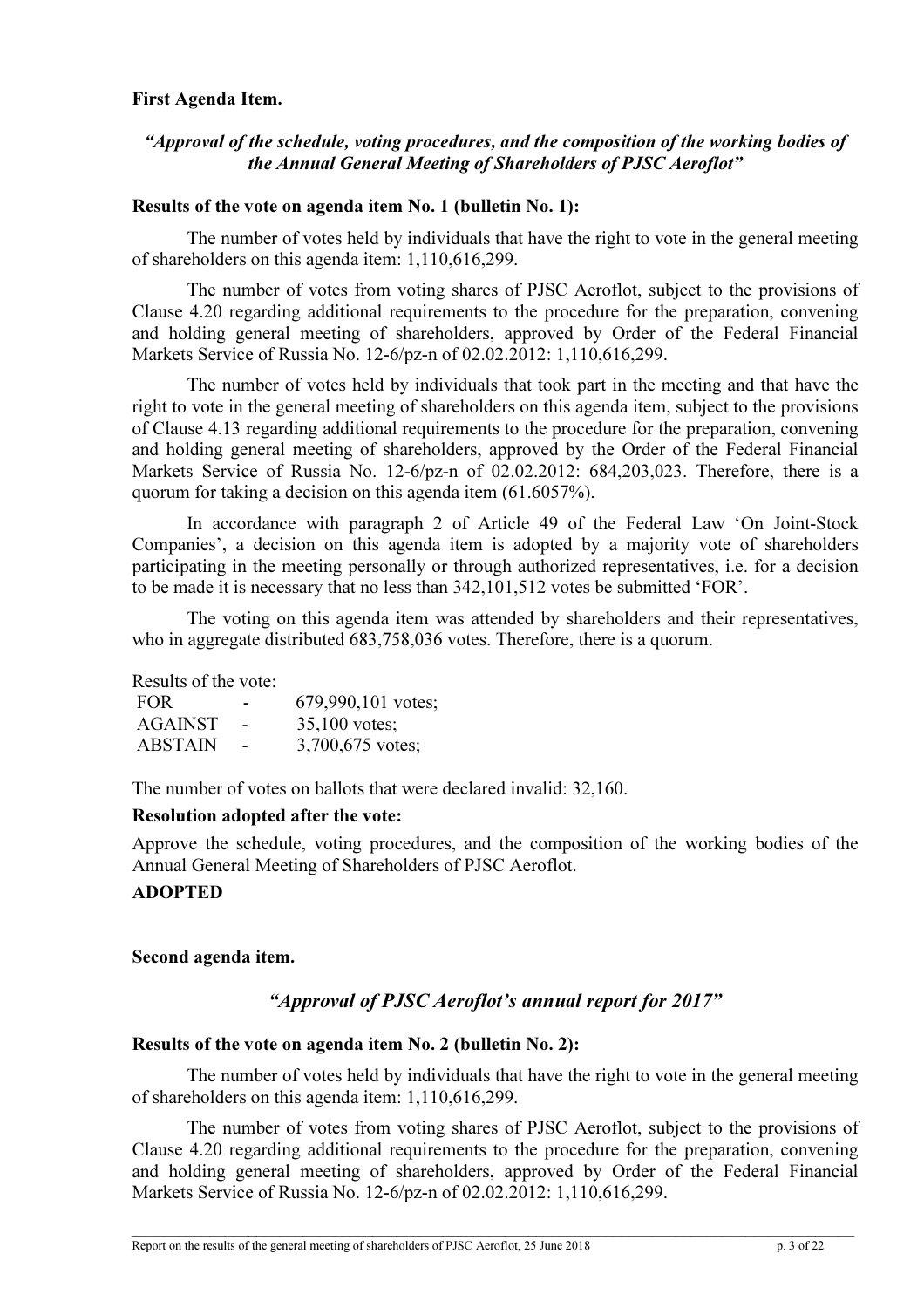### First Agenda Item.

# "Approval of the schedule, voting procedures, and the composition of the working bodies of the Annual General Meeting of Shareholders of PJSC Aeroflot"

# Results of the vote on agenda item No. 1 (bulletin No. 1):

The number of votes held by individuals that have the right to vote in the general meeting of shareholders on this agenda item: 1,110,616,299.

The number of votes from voting shares of PJSC Aeroflot, subject to the provisions of Clause 4.20 regarding additional requirements to the procedure for the preparation, convening and holding general meeting of shareholders, approved by Order of the Federal Financial Markets Service of Russia No. 12-6/pz-n of 02.02.2012: 1,110,616,299.

The number of votes held by individuals that took part in the meeting and that have the right to vote in the general meeting of shareholders on this agenda item, subject to the provisions of Clause 4.13 regarding additional requirements to the procedure for the preparation, convening and holding general meeting of shareholders, approved by the Order of the Federal Financial Markets Service of Russia No. 12-6/pz-n of 02.02.2012: 684,203,023. Therefore, there is a quorum for taking a decision on this agenda item (61.6057%).

In accordance with paragraph 2 of Article 49 of the Federal Law 'On Joint-Stock Companies', a decision on this agenda item is adopted by a majority vote of shareholders participating in the meeting personally or through authorized representatives, i.e. for a decision to be made it is necessary that no less than 342,101,512 votes be submitted 'FOR'.

The voting on this agenda item was attended by shareholders and their representatives, who in aggregate distributed  $683,758,036$  votes. Therefore, there is a quorum.

Results of the vote:

| FOR.           | -                        | 679,990,101 votes; |
|----------------|--------------------------|--------------------|
| <b>AGAINST</b> | $\overline{\phantom{a}}$ | $35,100$ votes;    |
| <b>ABSTAIN</b> | $\sim$                   | 3,700,675 votes;   |

The number of votes on ballots that were declared invalid: 32,160.

# Resolution adopted after the vote:

Approve the schedule, voting procedures, and the composition of the working bodies of the Annual General Meeting of Shareholders of PJSC Aeroflot.

# ADOPTED

# Second agenda item.

# "Approval of PJSC Aeroflot's annual report for 2017"

# Results of the vote on agenda item No. 2 (bulletin No. 2):

The number of votes held by individuals that have the right to vote in the general meeting of shareholders on this agenda item: 1,110,616,299.

The number of votes from voting shares of PJSC Aeroflot, subject to the provisions of Clause 4.20 regarding additional requirements to the procedure for the preparation, convening and holding general meeting of shareholders, approved by Order of the Federal Financial Markets Service of Russia No. 12-6/pz-n of 02.02.2012: 1,110,616,299.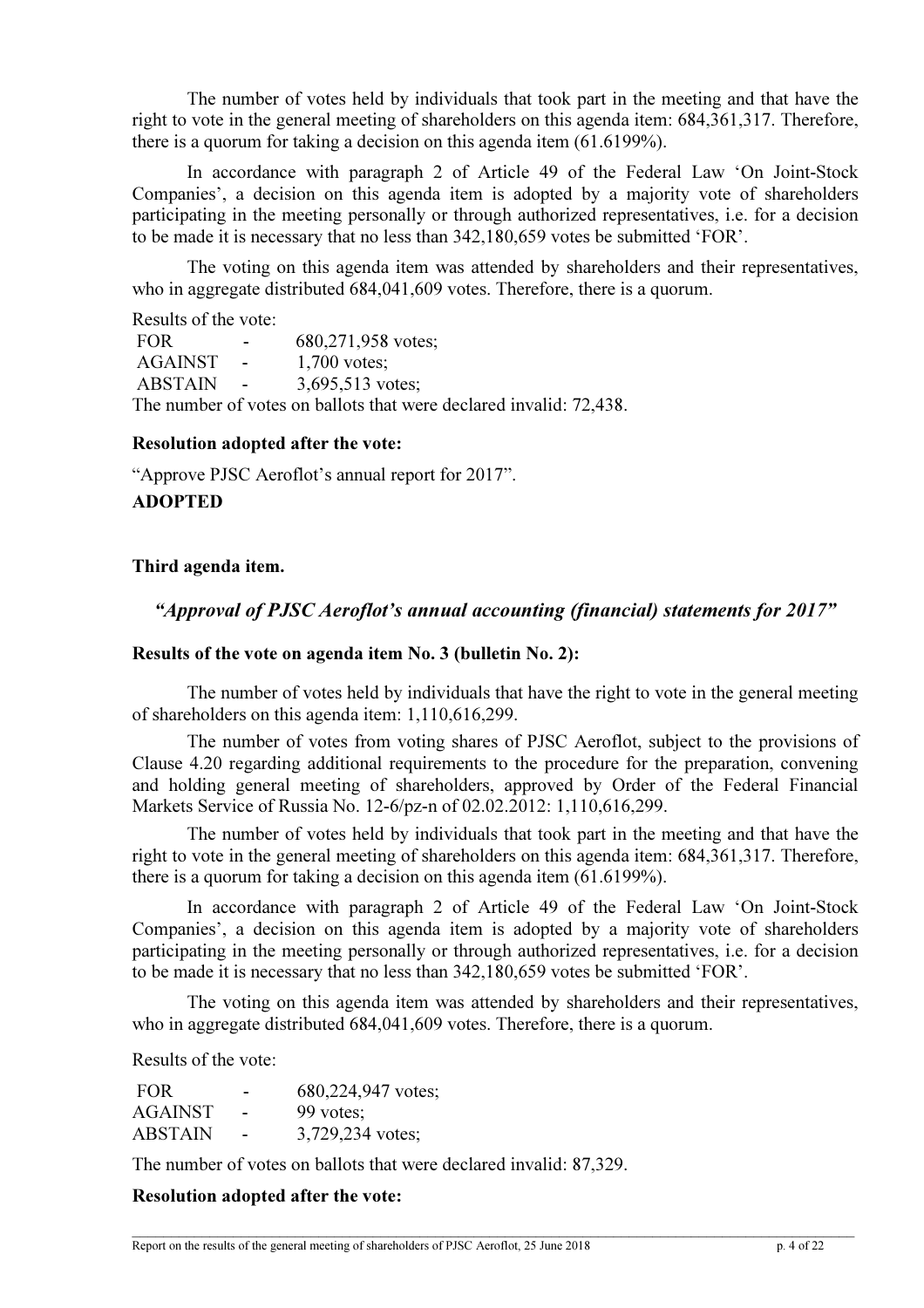The number of votes held by individuals that took part in the meeting and that have the right to vote in the general meeting of shareholders on this agenda item: 684,361,317. Therefore, there is a quorum for taking a decision on this agenda item (61.6199%).

In accordance with paragraph 2 of Article 49 of the Federal Law 'On Joint-Stock Companies', a decision on this agenda item is adopted by a majority vote of shareholders participating in the meeting personally or through authorized representatives, i.e. for a decision to be made it is necessary that no less than 342,180,659 votes be submitted 'FOR'.

The voting on this agenda item was attended by shareholders and their representatives, who in aggregate distributed 684,041,609 votes. Therefore, there is a quorum.

Results of the vote:

FOR  $-$  680,271,958 votes; AGAINST - 1,700 votes: ABSTAIN - 3,695,513 votes; The number of votes on ballots that were declared invalid: 72,438.

### Resolution adopted after the vote:

"Approve PJSC Aeroflot's annual report for 2017". ADOPTED

# Third agenda item.

# "Approval of PJSC Aeroflot's annual accounting (financial) statements for 2017"

### Results of the vote on agenda item No. 3 (bulletin No. 2):

The number of votes held by individuals that have the right to vote in the general meeting of shareholders on this agenda item: 1,110,616,299.

The number of votes from voting shares of PJSC Aeroflot, subject to the provisions of Clause 4.20 regarding additional requirements to the procedure for the preparation, convening and holding general meeting of shareholders, approved by Order of the Federal Financial Markets Service of Russia No. 12-6/pz-n of 02.02.2012: 1,110,616,299.

The number of votes held by individuals that took part in the meeting and that have the right to vote in the general meeting of shareholders on this agenda item: 684,361,317. Therefore, there is a quorum for taking a decision on this agenda item (61.6199%).

In accordance with paragraph 2 of Article 49 of the Federal Law 'On Joint-Stock Companies', a decision on this agenda item is adopted by a majority vote of shareholders participating in the meeting personally or through authorized representatives, i.e. for a decision to be made it is necessary that no less than 342,180,659 votes be submitted 'FOR'.

The voting on this agenda item was attended by shareholders and their representatives, who in aggregate distributed 684,041,609 votes. Therefore, there is a quorum.

Results of the vote:

| <b>FOR</b>     | ۰      | 680,224,947 votes; |
|----------------|--------|--------------------|
| <b>AGAINST</b> | $\sim$ | 99 votes:          |
| <b>ABSTAIN</b> | $\sim$ | 3,729,234 votes;   |

The number of votes on ballots that were declared invalid: 87,329.

# Resolution adopted after the vote: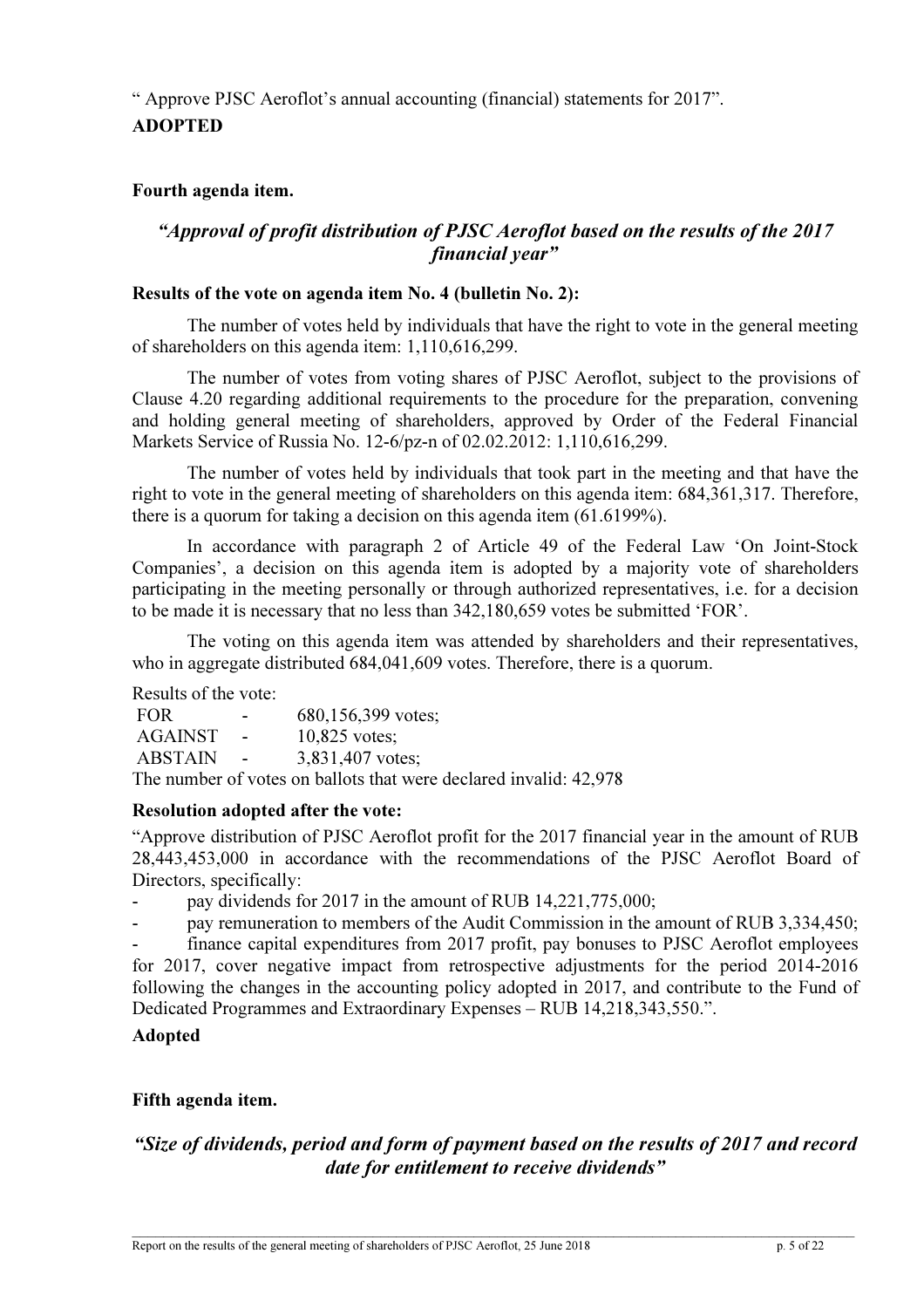" Approve PJSC Aeroflot's annual accounting (financial) statements for 2017". ADOPTED

# Fourth agenda item.

# "Approval of profit distribution of PJSC Aeroflot based on the results of the 2017 financial year"

### Results of the vote on agenda item No. 4 (bulletin No. 2):

The number of votes held by individuals that have the right to vote in the general meeting of shareholders on this agenda item: 1,110,616,299.

The number of votes from voting shares of PJSC Aeroflot, subject to the provisions of Clause 4.20 regarding additional requirements to the procedure for the preparation, convening and holding general meeting of shareholders, approved by Order of the Federal Financial Markets Service of Russia No. 12-6/pz-n of 02.02.2012: 1,110,616,299.

The number of votes held by individuals that took part in the meeting and that have the right to vote in the general meeting of shareholders on this agenda item: 684,361,317. Therefore, there is a quorum for taking a decision on this agenda item (61.6199%).

In accordance with paragraph 2 of Article 49 of the Federal Law 'On Joint-Stock Companies', a decision on this agenda item is adopted by a majority vote of shareholders participating in the meeting personally or through authorized representatives, i.e. for a decision to be made it is necessary that no less than 342,180,659 votes be submitted 'FOR'.

The voting on this agenda item was attended by shareholders and their representatives, who in aggregate distributed 684,041,609 votes. Therefore, there is a quorum.

Results of the vote:

FOR  $-$  680,156,399 votes; AGAINST - 10,825 votes; ABSTAIN - 3,831,407 votes; The number of votes on ballots that were declared invalid: 42,978

### Resolution adopted after the vote:

"Approve distribution of PJSC Aeroflot profit for the 2017 financial year in the amount of RUB 28,443,453,000 in accordance with the recommendations of the PJSC Aeroflot Board of Directors, specifically:

- pay dividends for 2017 in the amount of RUB 14,221,775,000;

pay remuneration to members of the Audit Commission in the amount of RUB 3,334,450;

finance capital expenditures from 2017 profit, pay bonuses to PJSC Aeroflot employees for 2017, cover negative impact from retrospective adjustments for the period 2014-2016 following the changes in the accounting policy adopted in 2017, and contribute to the Fund of Dedicated Programmes and Extraordinary Expenses – RUB 14,218,343,550.".

# Adopted

# Fifth agenda item.

# "Size of dividends, period and form of payment based on the results of 2017 and record date for entitlement to receive dividends"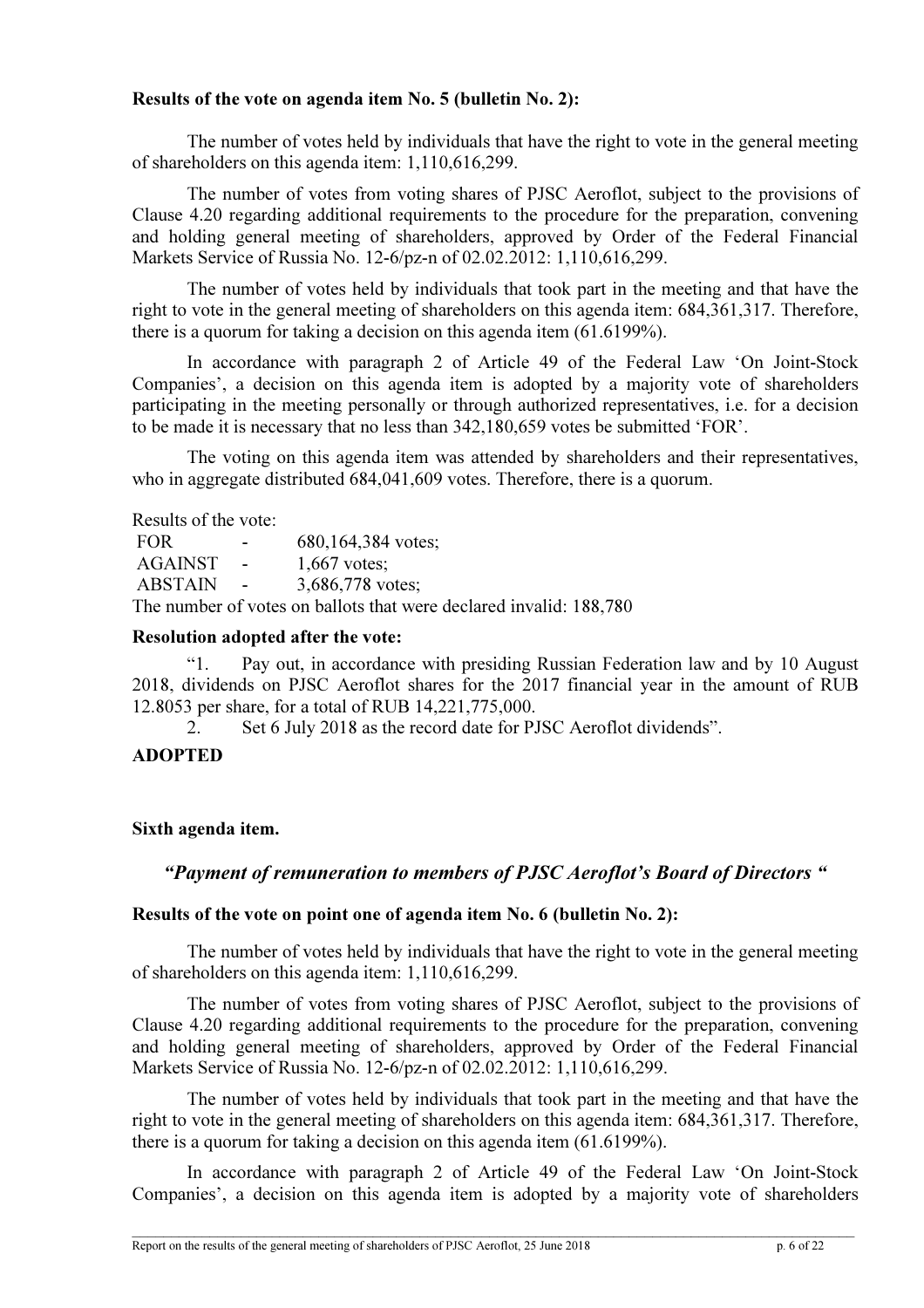# Results of the vote on agenda item No. 5 (bulletin No. 2):

The number of votes held by individuals that have the right to vote in the general meeting of shareholders on this agenda item: 1,110,616,299.

The number of votes from voting shares of PJSC Aeroflot, subject to the provisions of Clause 4.20 regarding additional requirements to the procedure for the preparation, convening and holding general meeting of shareholders, approved by Order of the Federal Financial Markets Service of Russia No. 12-6/pz-n of 02.02.2012: 1,110,616,299.

The number of votes held by individuals that took part in the meeting and that have the right to vote in the general meeting of shareholders on this agenda item: 684,361,317. Therefore, there is a quorum for taking a decision on this agenda item (61.6199%).

In accordance with paragraph 2 of Article 49 of the Federal Law 'On Joint-Stock Companies', a decision on this agenda item is adopted by a majority vote of shareholders participating in the meeting personally or through authorized representatives, i.e. for a decision to be made it is necessary that no less than 342,180,659 votes be submitted 'FOR'.

The voting on this agenda item was attended by shareholders and their representatives, who in aggregate distributed 684,041,609 votes. Therefore, there is a quorum.

Results of the vote:

| <b>FOR</b> | $\sim$ 100 $\mu$         | 680,164,384 votes;                                                 |
|------------|--------------------------|--------------------------------------------------------------------|
| AGAINST    | <b>Common</b>            | $1,667$ votes:                                                     |
| ABSTAIN    | <b>Contract Contract</b> | 3,686,778 votes:                                                   |
|            |                          | The number of votes on ballots that were declared invalid: 188,780 |

# Resolution adopted after the vote:

"1. Pay out, in accordance with presiding Russian Federation law and by 10 August 2018, dividends on PJSC Aeroflot shares for the 2017 financial year in the amount of RUB 12.8053 per share, for a total of RUB 14,221,775,000.

2. Set 6 July 2018 as the record date for PJSC Aeroflot dividends".

# ADOPTED

# Sixth agenda item.

# "Payment of remuneration to members of PJSC Aeroflot's Board of Directors "

### Results of the vote on point one of agenda item No. 6 (bulletin No. 2):

The number of votes held by individuals that have the right to vote in the general meeting of shareholders on this agenda item: 1,110,616,299.

The number of votes from voting shares of PJSC Aeroflot, subject to the provisions of Clause 4.20 regarding additional requirements to the procedure for the preparation, convening and holding general meeting of shareholders, approved by Order of the Federal Financial Markets Service of Russia No. 12-6/pz-n of 02.02.2012: 1,110,616,299.

The number of votes held by individuals that took part in the meeting and that have the right to vote in the general meeting of shareholders on this agenda item: 684,361,317. Therefore, there is a quorum for taking a decision on this agenda item (61.6199%).

In accordance with paragraph 2 of Article 49 of the Federal Law 'On Joint-Stock Companies', a decision on this agenda item is adopted by a majority vote of shareholders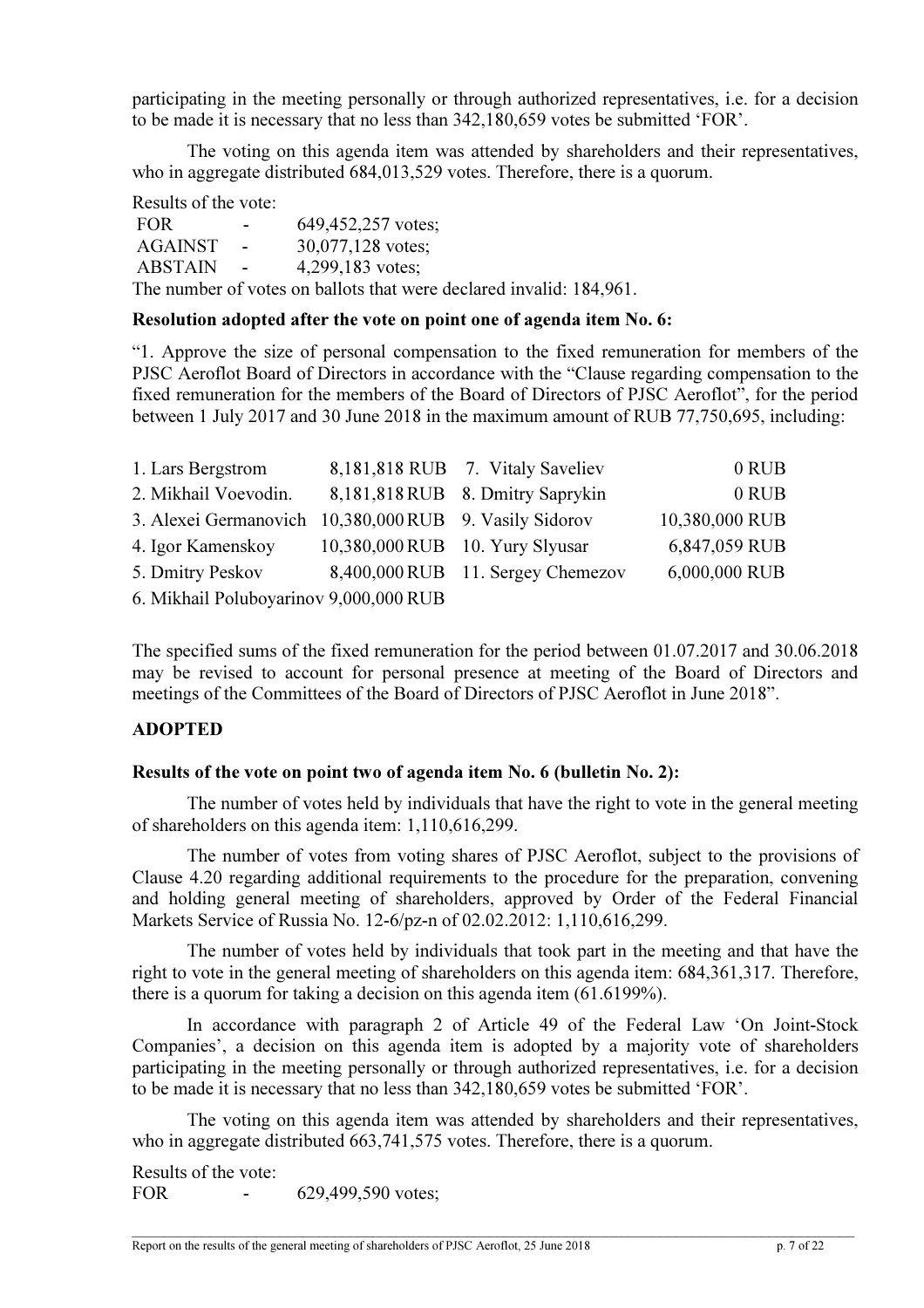participating in the meeting personally or through authorized representatives, i.e. for a decision to be made it is necessary that no less than 342,180,659 votes be submitted 'FOR'.

The voting on this agenda item was attended by shareholders and their representatives, who in aggregate distributed 684,013,529 votes. Therefore, there is a quorum.

Results of the vote:

FOR  $-$  649,452,257 votes; AGAINST - 30,077,128 votes; ABSTAIN - 4,299,183 votes; The number of votes on ballots that were declared invalid: 184,961.

### Resolution adopted after the vote on point one of agenda item No. 6:

"1. Approve the size of personal compensation to the fixed remuneration for members of the PJSC Aeroflot Board of Directors in accordance with the "Clause regarding compensation to the fixed remuneration for the members of the Board of Directors of PJSC Aeroflot", for the period between 1 July 2017 and 30 June 2018 in the maximum amount of RUB 77,750,695, including:

| 1. Lars Bergstrom                                      |                                 | 8,181,818 RUB 7. Vitaly Saveliev  | 0 RUB          |
|--------------------------------------------------------|---------------------------------|-----------------------------------|----------------|
| 2. Mikhail Voevodin.                                   |                                 | 8,181,818 RUB 8. Dmitry Saprykin  | 0 RUB          |
| 3. Alexei Germanovich 10,380,000 RUB 9. Vasily Sidorov |                                 |                                   | 10,380,000 RUB |
| 4. Igor Kamenskov                                      | 10,380,000 RUB 10. Yury Slyusar |                                   | 6,847,059 RUB  |
| 5. Dmitry Peskov                                       |                                 | 8,400,000 RUB 11. Sergey Chemezov | 6,000,000 RUB  |
| 6. Mikhail Poluboyarinov 9,000,000 RUB                 |                                 |                                   |                |

The specified sums of the fixed remuneration for the period between 01.07.2017 and 30.06.2018 may be revised to account for personal presence at meeting of the Board of Directors and meetings of the Committees of the Board of Directors of PJSC Aeroflot in June 2018".

### **ADOPTED**

### Results of the vote on point two of agenda item No. 6 (bulletin No. 2):

The number of votes held by individuals that have the right to vote in the general meeting of shareholders on this agenda item: 1,110,616,299.

The number of votes from voting shares of PJSC Aeroflot, subject to the provisions of Clause 4.20 regarding additional requirements to the procedure for the preparation, convening and holding general meeting of shareholders, approved by Order of the Federal Financial Markets Service of Russia No. 12-6/pz-n of 02.02.2012: 1,110,616,299.

The number of votes held by individuals that took part in the meeting and that have the right to vote in the general meeting of shareholders on this agenda item: 684,361,317. Therefore, there is a quorum for taking a decision on this agenda item (61.6199%).

In accordance with paragraph 2 of Article 49 of the Federal Law 'On Joint-Stock Companies', a decision on this agenda item is adopted by a majority vote of shareholders participating in the meeting personally or through authorized representatives, i.e. for a decision to be made it is necessary that no less than 342,180,659 votes be submitted 'FOR'.

The voting on this agenda item was attended by shareholders and their representatives, who in aggregate distributed  $663,741,575$  votes. Therefore, there is a quorum.

Results of the vote: FOR  $-$  629,499,590 votes;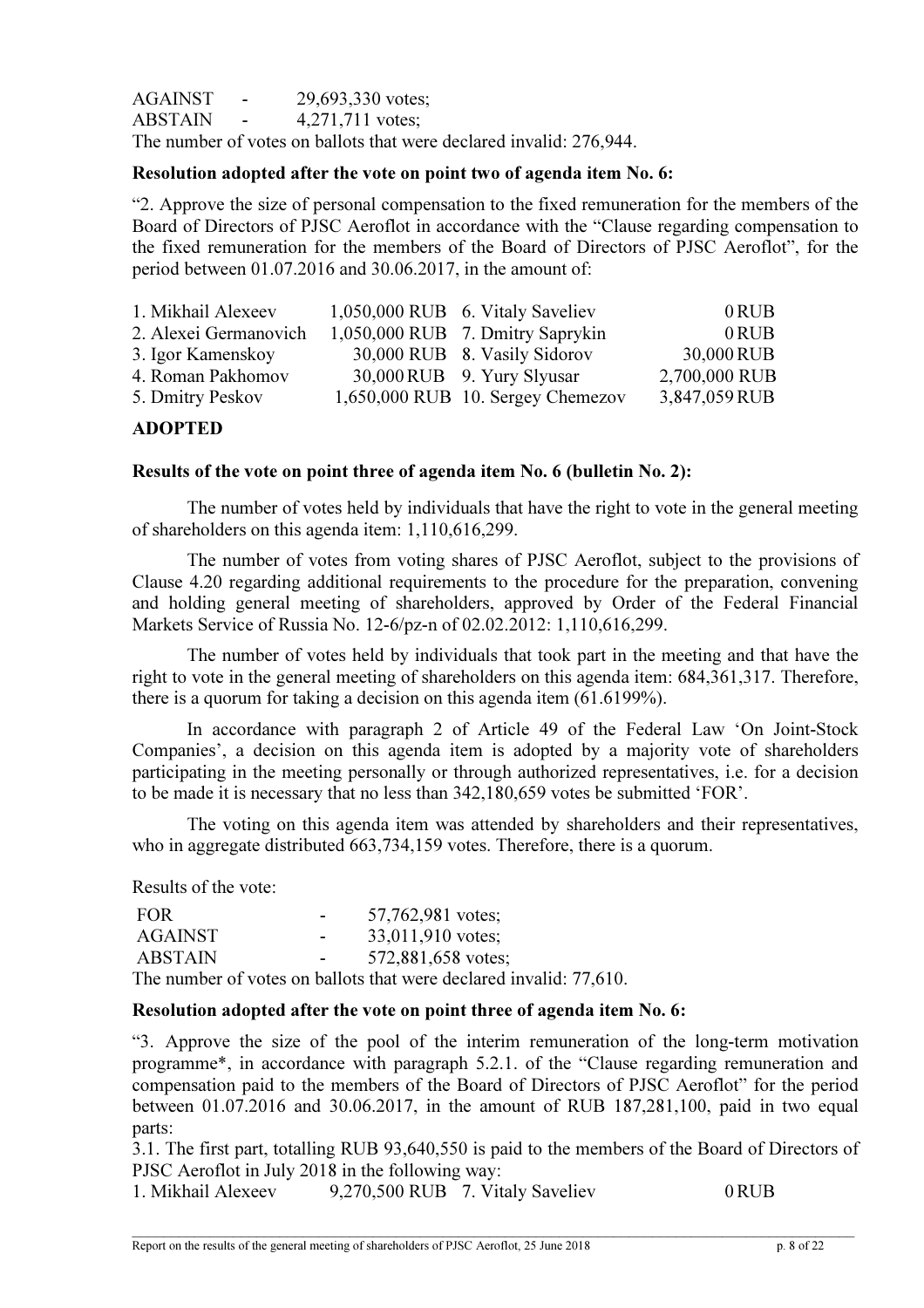AGAINST - 29,693,330 votes; ABSTAIN - 4,271,711 votes; The number of votes on ballots that were declared invalid: 276,944.

# Resolution adopted after the vote on point two of agenda item No. 6:

"2. Approve the size of personal compensation to the fixed remuneration for the members of the Board of Directors of PJSC Aeroflot in accordance with the "Clause regarding compensation to the fixed remuneration for the members of the Board of Directors of PJSC Aeroflot", for the period between 01.07.2016 and 30.06.2017, in the amount of:

| 1. Mikhail Alexeev    | 1,050,000 RUB 6. Vitaly Saveliev  | $0$ RUB       |
|-----------------------|-----------------------------------|---------------|
| 2. Alexei Germanovich | 1,050,000 RUB 7. Dmitry Saprykin  | $0$ RUB       |
| 3. Igor Kamenskoy     | 30,000 RUB 8. Vasily Sidorov      | 30,000 RUB    |
| 4. Roman Pakhomov     | 30,000 RUB 9. Yury Slyusar        | 2,700,000 RUB |
| 5. Dmitry Peskov      | 1,650,000 RUB 10. Sergey Chemezov | 3,847,059 RUB |

### ADOPTED

### Results of the vote on point three of agenda item No. 6 (bulletin No. 2):

The number of votes held by individuals that have the right to vote in the general meeting of shareholders on this agenda item: 1,110,616,299.

The number of votes from voting shares of PJSC Aeroflot, subject to the provisions of Clause 4.20 regarding additional requirements to the procedure for the preparation, convening and holding general meeting of shareholders, approved by Order of the Federal Financial Markets Service of Russia No. 12-6/pz-n of 02.02.2012: 1,110,616,299.

The number of votes held by individuals that took part in the meeting and that have the right to vote in the general meeting of shareholders on this agenda item: 684,361,317. Therefore, there is a quorum for taking a decision on this agenda item (61.6199%).

In accordance with paragraph 2 of Article 49 of the Federal Law 'On Joint-Stock Companies', a decision on this agenda item is adopted by a majority vote of shareholders participating in the meeting personally or through authorized representatives, i.e. for a decision to be made it is necessary that no less than 342,180,659 votes be submitted 'FOR'.

The voting on this agenda item was attended by shareholders and their representatives, who in aggregate distributed 663,734,159 votes. Therefore, there is a quorum.

Results of the vote:

| FOR            | $\overline{\phantom{a}}$ | 57,762,981 votes;  |
|----------------|--------------------------|--------------------|
| <b>AGAINST</b> | ۰                        | 33,011,910 votes;  |
| <b>ABSTAIN</b> | ۰                        | 572,881,658 votes; |
|                |                          |                    |

The number of votes on ballots that were declared invalid: 77,610.

### Resolution adopted after the vote on point three of agenda item No. 6:

"3. Approve the size of the pool of the interim remuneration of the long-term motivation programme\*, in accordance with paragraph 5.2.1. of the "Clause regarding remuneration and compensation paid to the members of the Board of Directors of PJSC Aeroflot" for the period between 01.07.2016 and 30.06.2017, in the amount of RUB 187,281,100, paid in two equal parts:

3.1. The first part, totalling RUB 93,640,550 is paid to the members of the Board of Directors of PJSC Aeroflot in July 2018 in the following way:

1. Mikhail Alexeev 9,270,500 RUB 7. Vitaly Saveliev 0 RUB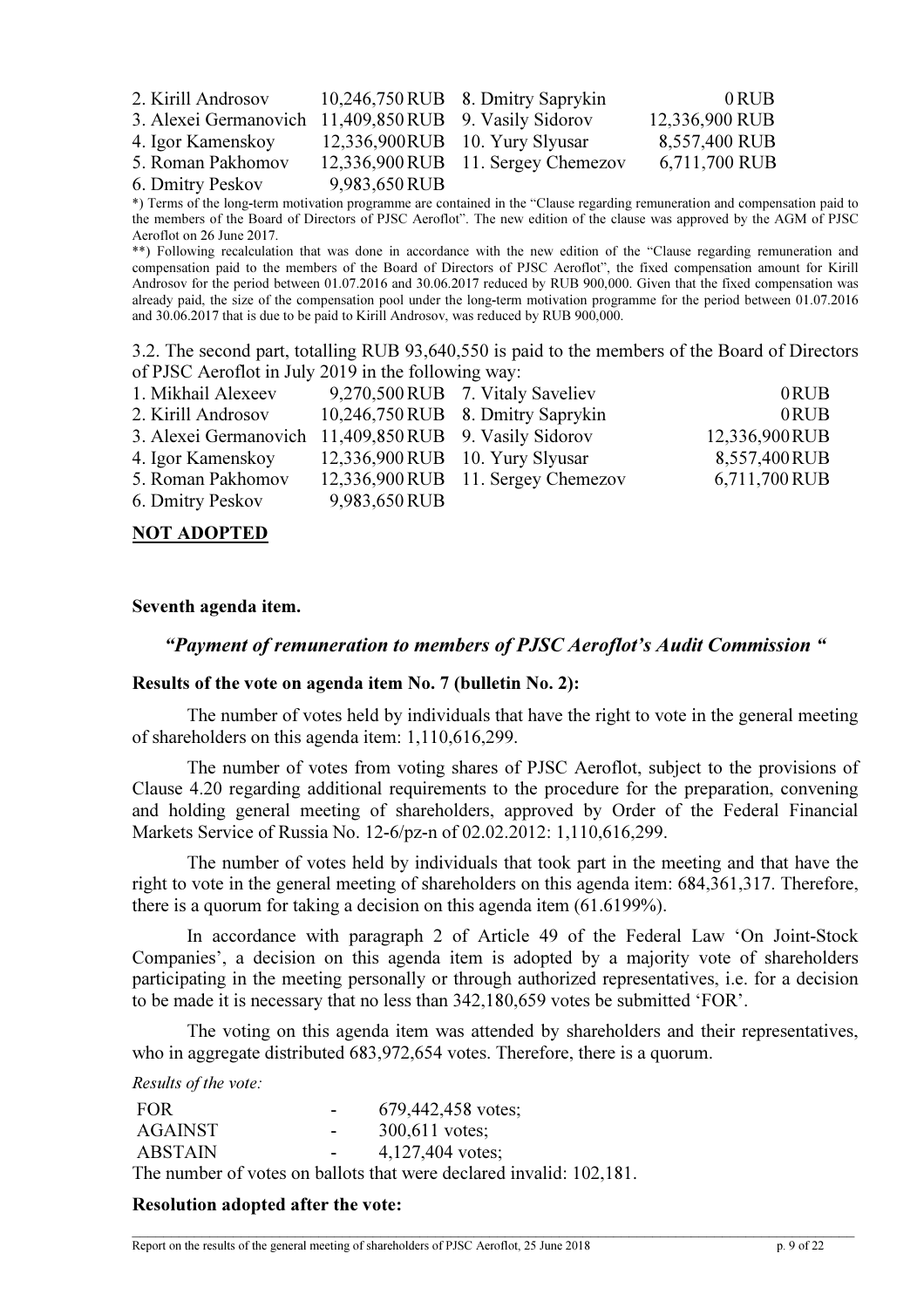| 2. Kirill Androsov                                     |               | 10,246,750 RUB 8. Dmitry Saprykin    | 0 RUB          |
|--------------------------------------------------------|---------------|--------------------------------------|----------------|
| 3. Alexei Germanovich 11,409,850 RUB 9. Vasily Sidorov |               |                                      | 12,336,900 RUB |
| 4. Igor Kamenskov                                      |               | 12,336,900RUB 10. Yury Slyusar       | 8,557,400 RUB  |
| 5. Roman Pakhomov                                      |               | $12,336,900$ RUB 11. Sergey Chemezov | 6,711,700 RUB  |
| 6. Dmitry Peskov                                       | 9,983,650 RUB |                                      |                |

\*) Terms of the long-term motivation programme are contained in the "Clause regarding remuneration and compensation paid to the members of the Board of Directors of PJSC Aeroflot". The new edition of the clause was approved by the AGM of PJSC Aeroflot on 26 June 2017.

\*\*) Following recalculation that was done in accordance with the new edition of the "Clause regarding remuneration and compensation paid to the members of the Board of Directors of PJSC Aeroflot", the fixed compensation amount for Kirill Androsov for the period between 01.07.2016 and 30.06.2017 reduced by RUB 900,000. Given that the fixed compensation was already paid, the size of the compensation pool under the long-term motivation programme for the period between 01.07.2016 and 30.06.2017 that is due to be paid to Kirill Androsov, was reduced by RUB 900,000.

3.2. The second part, totalling RUB 93,640,550 is paid to the members of the Board of Directors of PJSC Aeroflot in July 2019 in the following way:

| 1. Mikhail Alexeev                                     |                                     | 9,270,500 RUB 7. Vitaly Saveliev   | 0RUB          |
|--------------------------------------------------------|-------------------------------------|------------------------------------|---------------|
| 2. Kirill Androsov                                     |                                     | 10,246,750 RUB 8. Dmitry Saprykin  | 0RUB          |
| 3. Alexei Germanovich 11,409,850 RUB 9. Vasily Sidorov |                                     |                                    | 12,336,900RUB |
| 4. Igor Kamenskoy                                      | $12,336,900$ RUB $10.$ Yury Slyusar |                                    | 8,557,400RUB  |
| 5. Roman Pakhomov                                      |                                     | 12,336,900 RUB 11. Sergey Chemezov | 6,711,700 RUB |
| 6. Dmitry Peskov                                       | 9,983,650 RUB                       |                                    |               |
|                                                        |                                     |                                    |               |

# NOT ADOPTED

### Seventh agenda item.

### "Payment of remuneration to members of PJSC Aeroflot's Audit Commission "

### Results of the vote on agenda item No. 7 (bulletin No. 2):

The number of votes held by individuals that have the right to vote in the general meeting of shareholders on this agenda item: 1,110,616,299.

The number of votes from voting shares of PJSC Aeroflot, subject to the provisions of Clause 4.20 regarding additional requirements to the procedure for the preparation, convening and holding general meeting of shareholders, approved by Order of the Federal Financial Markets Service of Russia No. 12-6/pz-n of 02.02.2012: 1,110,616,299.

The number of votes held by individuals that took part in the meeting and that have the right to vote in the general meeting of shareholders on this agenda item: 684,361,317. Therefore, there is a quorum for taking a decision on this agenda item (61.6199%).

In accordance with paragraph 2 of Article 49 of the Federal Law 'On Joint-Stock Companies', a decision on this agenda item is adopted by a majority vote of shareholders participating in the meeting personally or through authorized representatives, i.e. for a decision to be made it is necessary that no less than 342,180,659 votes be submitted 'FOR'.

The voting on this agenda item was attended by shareholders and their representatives, who in aggregate distributed 683,972,654 votes. Therefore, there is a quorum.

### Results of the vote:

| <b>FOR</b>     | $\sim$           | 679,442,458 votes;                                                  |
|----------------|------------------|---------------------------------------------------------------------|
| AGAINST        | $\sim$ 10 $\pm$  | $300,611$ votes:                                                    |
| <b>ABSTAIN</b> | $\sim$ 100 $\mu$ | 4,127,404 votes;                                                    |
|                |                  | The number of votes on ballots that were declared invalid: 102,181. |

### Resolution adopted after the vote: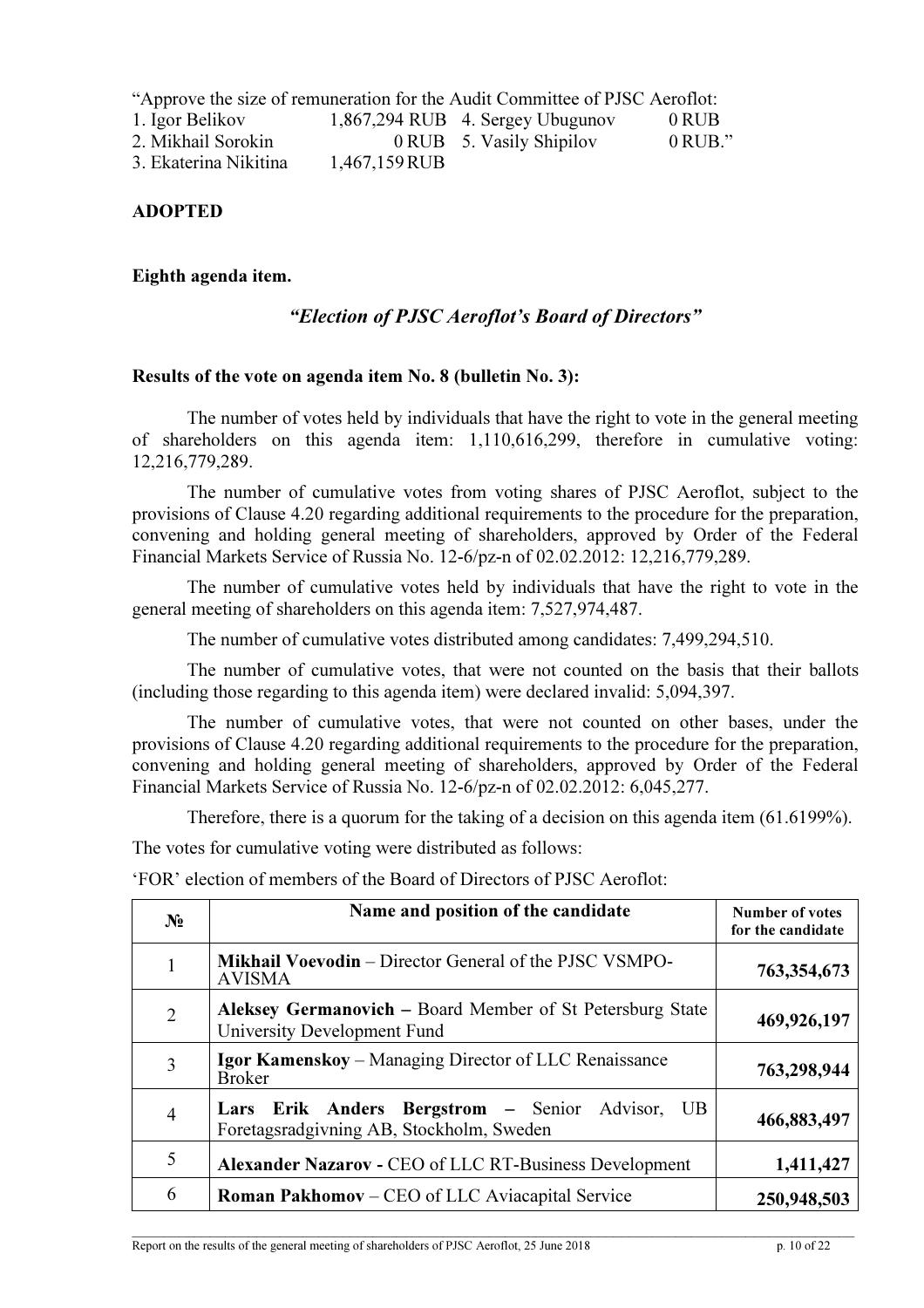"Approve the size of remuneration for the Audit Committee of PJSC Aeroflot:

- 1. Igor Belikov 1,867,294 RUB 4. Sergey Ubugunov 0 RUB 2. Mikhail Sorokin 0 RUB 5. Vasily Shipilov 0 RUB."
- 3. Ekaterina Nikitina 1,467,159 RUB

# ADOPTED

# Eighth agenda item.

# "Election of PJSC Aeroflot's Board of Directors"

### Results of the vote on agenda item No. 8 (bulletin No. 3):

The number of votes held by individuals that have the right to vote in the general meeting of shareholders on this agenda item: 1,110,616,299, therefore in cumulative voting: 12,216,779,289.

The number of cumulative votes from voting shares of PJSC Aeroflot, subject to the provisions of Clause 4.20 regarding additional requirements to the procedure for the preparation, convening and holding general meeting of shareholders, approved by Order of the Federal Financial Markets Service of Russia No. 12-6/pz-n of 02.02.2012: 12,216,779,289.

The number of cumulative votes held by individuals that have the right to vote in the general meeting of shareholders on this agenda item: 7,527,974,487.

The number of cumulative votes distributed among candidates: 7,499,294,510.

The number of cumulative votes, that were not counted on the basis that their ballots (including those regarding to this agenda item) were declared invalid: 5,094,397.

The number of cumulative votes, that were not counted on other bases, under the provisions of Clause 4.20 regarding additional requirements to the procedure for the preparation, convening and holding general meeting of shareholders, approved by Order of the Federal Financial Markets Service of Russia No. 12-6/pz-n of 02.02.2012: 6,045,277.

Therefore, there is a quorum for the taking of a decision on this agenda item (61.6199%).

The votes for cumulative voting were distributed as follows:

'FOR' election of members of the Board of Directors of PJSC Aeroflot:

| N <sub>2</sub> | Name and position of the candidate                                                                | Number of votes<br>for the candidate |
|----------------|---------------------------------------------------------------------------------------------------|--------------------------------------|
|                | Mikhail Voevodin – Director General of the PJSC VSMPO-<br><b>AVISMA</b>                           | 763,354,673                          |
| $\overline{2}$ | Aleksey Germanovich – Board Member of St Petersburg State<br>University Development Fund          | 469,926,197                          |
| 3              | <b>Igor Kamenskoy</b> – Managing Director of LLC Renaissance<br><b>Broker</b>                     | 763,298,944                          |
| 4              | Lars Erik Anders Bergstrom – Senior<br>Advisor,<br>UB<br>Foretagsradgivning AB, Stockholm, Sweden | 466,883,497                          |
| 5              | Alexander Nazarov - CEO of LLC RT-Business Development                                            | 1,411,427                            |
| 6              | <b>Roman Pakhomov</b> – CEO of LLC Aviacapital Service                                            | 250,948,503                          |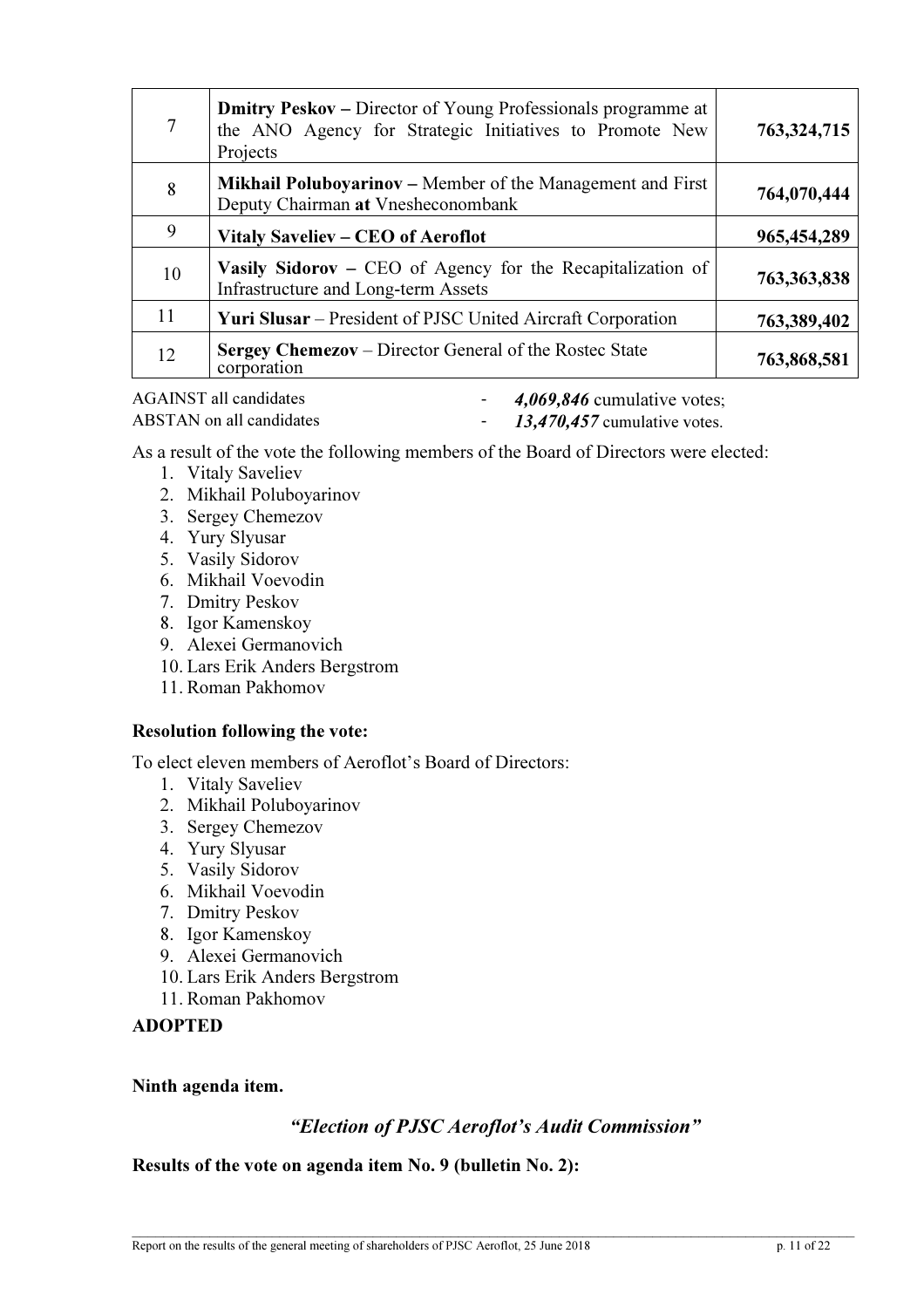| 7  | <b>Dmitry Peskov</b> – Director of Young Professionals programme at<br>the ANO Agency for Strategic Initiatives to Promote New<br>Projects | 763,324,715 |
|----|--------------------------------------------------------------------------------------------------------------------------------------------|-------------|
| 8  | <b>Mikhail Poluboyarinov</b> – Member of the Management and First<br>Deputy Chairman at Vnesheconombank                                    | 764,070,444 |
| 9  | Vitaly Saveliev – CEO of Aeroflot                                                                                                          | 965,454,289 |
| 10 | Vasily Sidorov – CEO of Agency for the Recapitalization of<br>Infrastructure and Long-term Assets                                          | 763,363,838 |
| 11 | <b>Yuri Slusar</b> – President of PJSC United Aircraft Corporation                                                                         | 763,389,402 |
| 12 | <b>Sergey Chemezov</b> – Director General of the Rostec State<br>corporation                                                               | 763,868,581 |

- AGAINST all candidates  $\qquad 4,069,846$  cumulative votes;
- 
- ABSTAN on all candidates  $13,470,457$  cumulative votes.

As a result of the vote the following members of the Board of Directors were elected:

- 1. Vitaly Saveliev
- 2. Mikhail Poluboyarinov
- 3. Sergey Chemezov
- 4. Yury Slyusar
- 5. Vasily Sidorov
- 6. Mikhail Voevodin
- 7. Dmitry Peskov
- 8. Igor Kamenskoy
- 9. Alexei Germanovich
- 10. Lars Erik Anders Bergstrom
- 11. Roman Pakhomov

# Resolution following the vote:

To elect eleven members of Aeroflot's Board of Directors:

- 1. Vitaly Saveliev
- 2. Mikhail Poluboyarinov
- 3. Sergey Chemezov
- 4. Yury Slyusar
- 5. Vasily Sidorov
- 6. Mikhail Voevodin
- 7. Dmitry Peskov
- 8. Igor Kamenskoy
- 9. Alexei Germanovich
- 10. Lars Erik Anders Bergstrom
- 11. Roman Pakhomov

# ADOPTED

# Ninth agenda item.

# "Election of PJSC Aeroflot's Audit Commission"

Results of the vote on agenda item No. 9 (bulletin No. 2):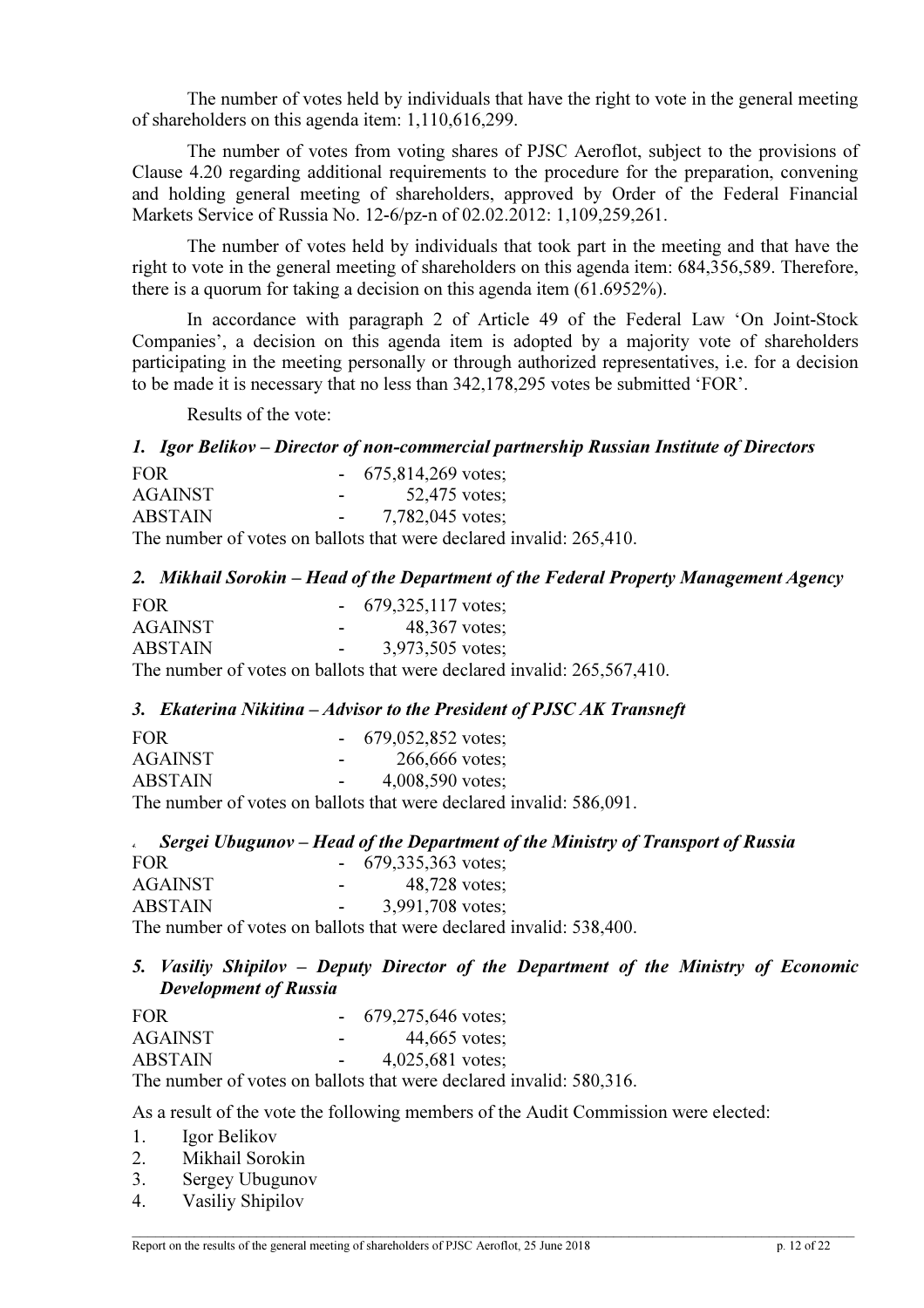The number of votes held by individuals that have the right to vote in the general meeting of shareholders on this agenda item: 1,110,616,299.

The number of votes from voting shares of PJSC Aeroflot, subject to the provisions of Clause 4.20 regarding additional requirements to the procedure for the preparation, convening and holding general meeting of shareholders, approved by Order of the Federal Financial Markets Service of Russia No. 12-6/pz-n of 02.02.2012: 1,109,259,261.

The number of votes held by individuals that took part in the meeting and that have the right to vote in the general meeting of shareholders on this agenda item: 684,356,589. Therefore, there is a quorum for taking a decision on this agenda item (61.6952%).

In accordance with paragraph 2 of Article 49 of the Federal Law 'On Joint-Stock Companies', a decision on this agenda item is adopted by a majority vote of shareholders participating in the meeting personally or through authorized representatives, i.e. for a decision to be made it is necessary that no less than 342,178,295 votes be submitted 'FOR'.

Results of the vote:

### 1. Igor Belikov – Director of non-commercial partnership Russian Institute of Directors

| FOR.           |                          | $-675,814,269$ votes;                                               |
|----------------|--------------------------|---------------------------------------------------------------------|
| <b>AGAINST</b> | <b>Contract Contract</b> | 52,475 votes:                                                       |
| <b>ABSTAIN</b> |                          | $-7,782,045$ votes:                                                 |
|                |                          | The number of votes on ballots that were declared invalid: 265,410. |

### 2. Mikhail Sorokin – Head of the Department of the Federal Property Management Agency

| FOR.                                               | 679,325,117 votes; |
|----------------------------------------------------|--------------------|
| <b>AGAINST</b>                                     | 48,367 votes;      |
| <b>ABSTAIN</b>                                     | 3,973,505 votes;   |
| The number of veter on hollots that were deelered: |                    |

The number of votes on ballots that were declared invalid: 265,567,410.

### 3. Ekaterina Nikitina – Advisor to the President of PJSC AK Transneft

| <b>FOR</b>     |                | $-679,052,852 \text{ votes};$                                       |
|----------------|----------------|---------------------------------------------------------------------|
| <b>AGAINST</b> | <b>Service</b> | 266,666 votes:                                                      |
| <b>ABSTAIN</b> | $\sim 100$     | $4,008,590$ votes:                                                  |
|                |                | The number of votes on ballots that were declared invalid: 586,091. |

|                       |                                           | Sergei Ubugunov – Head of the Department of the Ministry of Transport of Russia |  |
|-----------------------|-------------------------------------------|---------------------------------------------------------------------------------|--|
| <b>FOR</b>            | $-679,335,363$ votes;                     |                                                                                 |  |
| AGAINST               | 48,728 votes:<br><b>Contract Contract</b> |                                                                                 |  |
| <b>ABSTAIN</b>        | 3,991,708 votes:                          |                                                                                 |  |
| $T1 \quad T1 \quad T$ |                                           |                                                                                 |  |

The number of votes on ballots that were declared invalid: 538,400.

# 5. Vasiliy Shipilov – Deputy Director of the Department of the Ministry of Economic Development of Russia

| FOR.           |   | 679,275,646 votes; |
|----------------|---|--------------------|
| <b>AGAINST</b> | - | 44,665 votes;      |
| <b>ABSTAIN</b> | - | 4,025,681 votes;   |
|                |   |                    |

The number of votes on ballots that were declared invalid: 580,316.

As a result of the vote the following members of the Audit Commission were elected:

- 1. Igor Belikov
- 2. Mikhail Sorokin
- 3. Sergey Ubugunov
- 4. Vasiliy Shipilov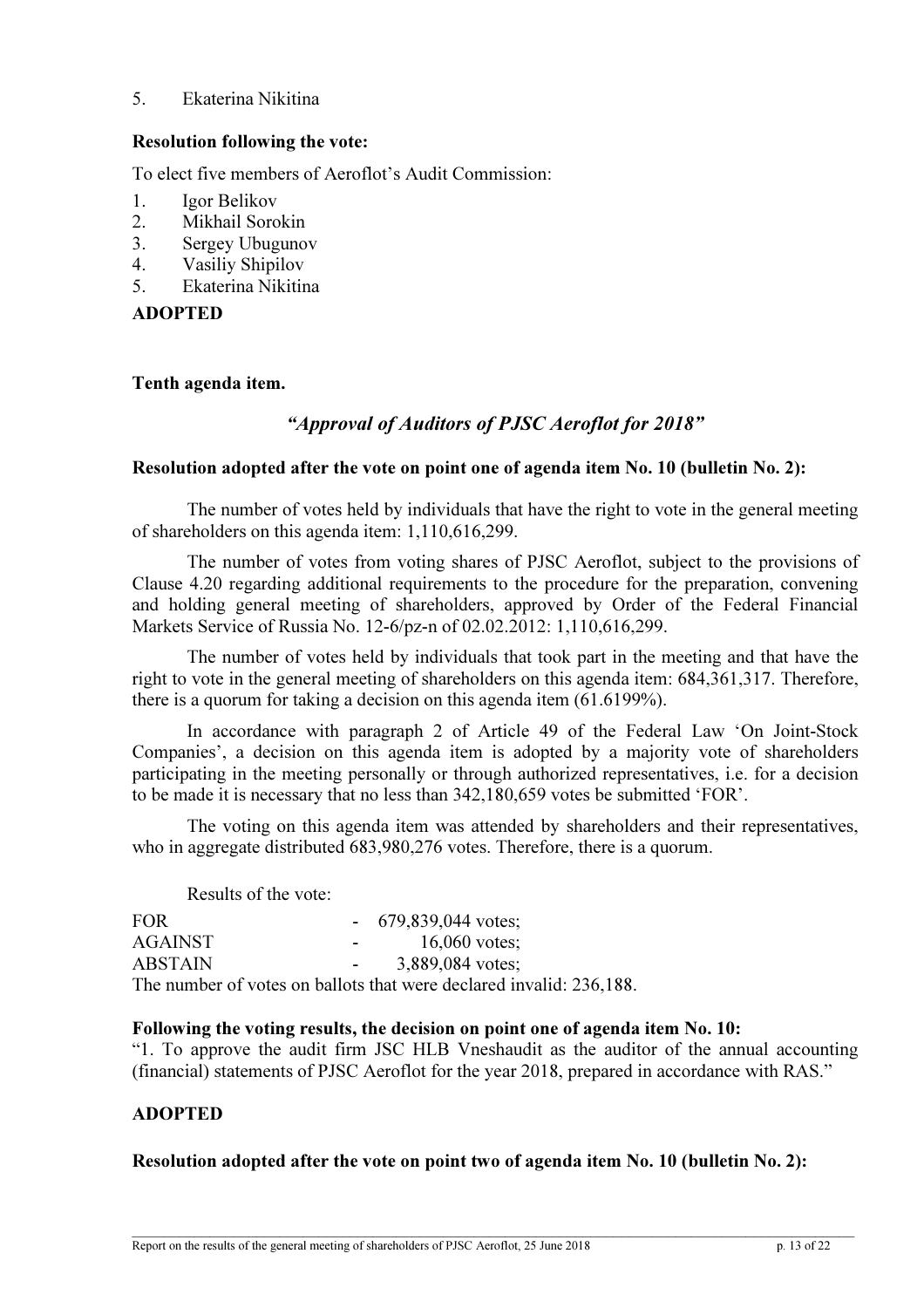### 5. Ekaterina Nikitina

### Resolution following the vote:

To elect five members of Aeroflot's Audit Commission:

- 1. Igor Belikov
- 2. Mikhail Sorokin
- 3. Sergey Ubugunov
- 4. Vasiliy Shipilov
- 5. Ekaterina Nikitina

# ADOPTED

### Tenth agenda item.

# "Approval of Auditors of PJSC Aeroflot for 2018"

### Resolution adopted after the vote on point one of agenda item No. 10 (bulletin No. 2):

The number of votes held by individuals that have the right to vote in the general meeting of shareholders on this agenda item: 1,110,616,299.

The number of votes from voting shares of PJSC Aeroflot, subject to the provisions of Clause 4.20 regarding additional requirements to the procedure for the preparation, convening and holding general meeting of shareholders, approved by Order of the Federal Financial Markets Service of Russia No. 12-6/pz-n of 02.02.2012: 1,110,616,299.

The number of votes held by individuals that took part in the meeting and that have the right to vote in the general meeting of shareholders on this agenda item: 684,361,317. Therefore, there is a quorum for taking a decision on this agenda item (61.6199%).

In accordance with paragraph 2 of Article 49 of the Federal Law 'On Joint-Stock Companies', a decision on this agenda item is adopted by a majority vote of shareholders participating in the meeting personally or through authorized representatives, i.e. for a decision to be made it is necessary that no less than 342,180,659 votes be submitted 'FOR'.

The voting on this agenda item was attended by shareholders and their representatives, who in aggregate distributed 683,980,276 votes. Therefore, there is a quorum.

Results of the vote:

| FOR.           |                      | $-679,839,044$ votes;                                               |
|----------------|----------------------|---------------------------------------------------------------------|
| AGAINST        | <b>Service</b> State | 16,060 votes:                                                       |
| <b>ABSTAIN</b> | $\sim$ 100 $\mu$     | 3,889,084 votes:                                                    |
|                |                      | The number of votes on ballots that were declared invalid: 236,188. |

### Following the voting results, the decision on point one of agenda item No. 10:

"1. To approve the audit firm JSC HLB Vneshaudit as the auditor of the annual accounting (financial) statements of PJSC Aeroflot for the year 2018, prepared in accordance with RAS."

# ADOPTED

### Resolution adopted after the vote on point two of agenda item No. 10 (bulletin No. 2):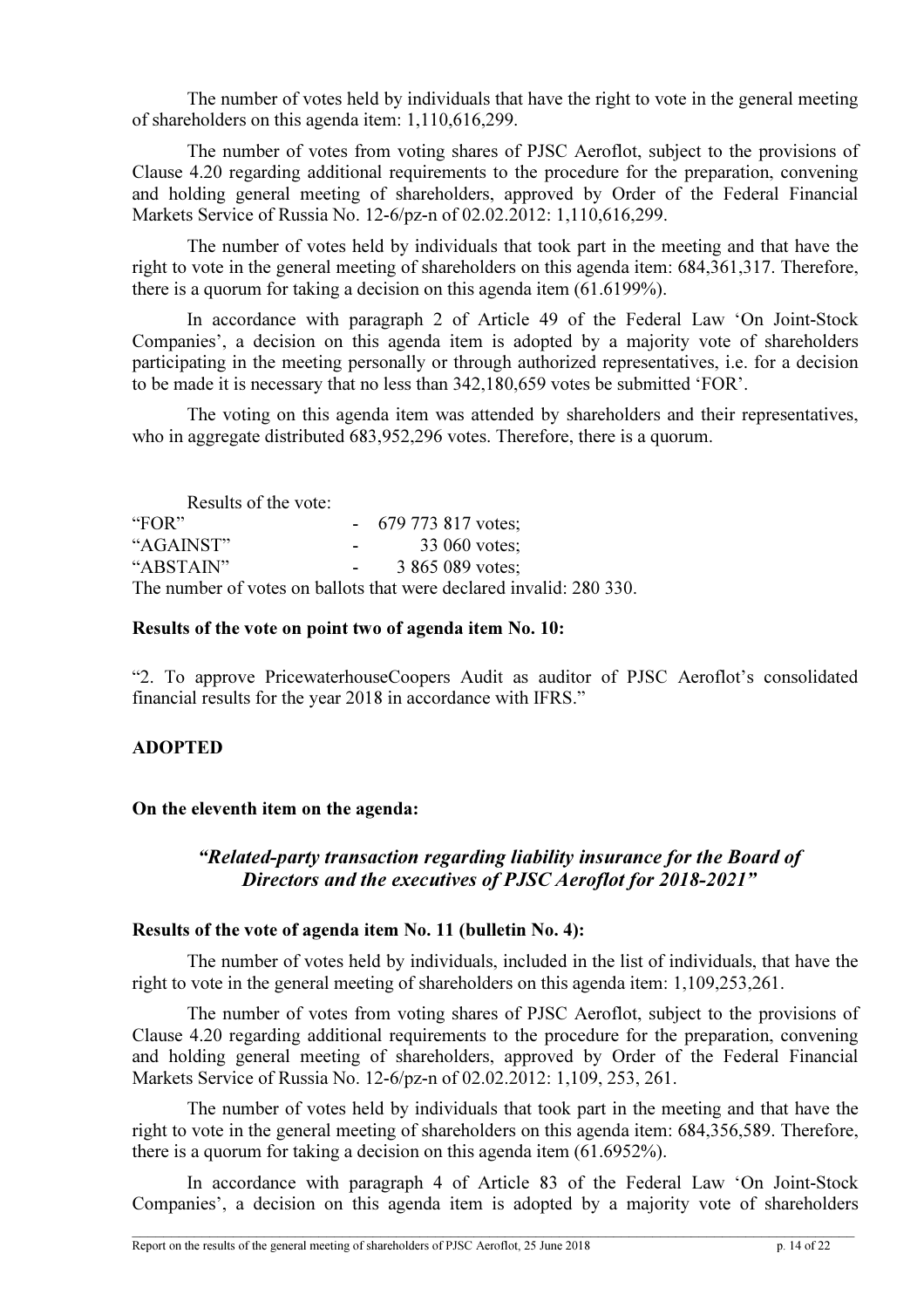The number of votes held by individuals that have the right to vote in the general meeting of shareholders on this agenda item: 1,110,616,299.

The number of votes from voting shares of PJSC Aeroflot, subject to the provisions of Clause 4.20 regarding additional requirements to the procedure for the preparation, convening and holding general meeting of shareholders, approved by Order of the Federal Financial Markets Service of Russia No. 12-6/pz-n of 02.02.2012: 1,110,616,299.

The number of votes held by individuals that took part in the meeting and that have the right to vote in the general meeting of shareholders on this agenda item: 684,361,317. Therefore, there is a quorum for taking a decision on this agenda item (61.6199%).

In accordance with paragraph 2 of Article 49 of the Federal Law 'On Joint-Stock Companies', a decision on this agenda item is adopted by a majority vote of shareholders participating in the meeting personally or through authorized representatives, i.e. for a decision to be made it is necessary that no less than 342,180,659 votes be submitted 'FOR'.

The voting on this agenda item was attended by shareholders and their representatives, who in aggregate distributed 683,952,296 votes. Therefore, there is a quorum.

Results of the vote:<br>"FOR"  $-679773817$  votes; "AGAINST" - 33 060 votes;<br>"ABSTAIN" - 3 865 089 votes: 3 865 089 votes; The number of votes on ballots that were declared invalid: 280 330.

### Results of the vote on point two of agenda item No. 10:

"2. To approve PricewaterhouseCoopers Audit as auditor of PJSC Aeroflot's consolidated financial results for the year 2018 in accordance with IFRS."

# ADOPTED

### On the eleventh item on the agenda:

# "Related-party transaction regarding liability insurance for the Board of Directors and the executives of PJSC Aeroflot for 2018-2021"

### Results of the vote of agenda item No. 11 (bulletin No. 4):

The number of votes held by individuals, included in the list of individuals, that have the right to vote in the general meeting of shareholders on this agenda item: 1,109,253,261.

The number of votes from voting shares of PJSC Aeroflot, subject to the provisions of Clause 4.20 regarding additional requirements to the procedure for the preparation, convening and holding general meeting of shareholders, approved by Order of the Federal Financial Markets Service of Russia No. 12-6/pz-n of 02.02.2012: 1,109, 253, 261.

The number of votes held by individuals that took part in the meeting and that have the right to vote in the general meeting of shareholders on this agenda item: 684,356,589. Therefore, there is a quorum for taking a decision on this agenda item (61.6952%).

In accordance with paragraph 4 of Article 83 of the Federal Law 'On Joint-Stock Companies', a decision on this agenda item is adopted by a majority vote of shareholders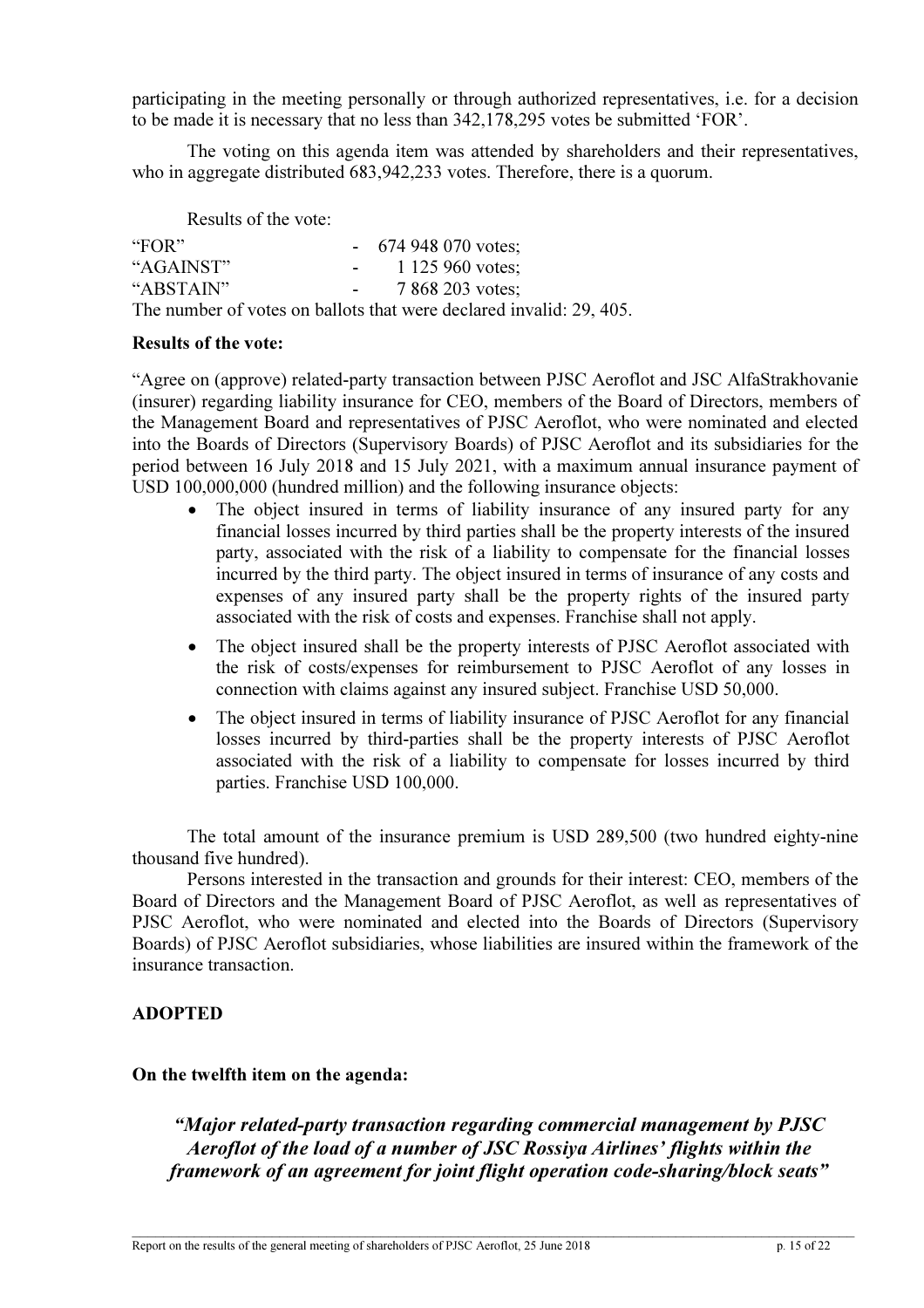participating in the meeting personally or through authorized representatives, i.e. for a decision to be made it is necessary that no less than 342,178,295 votes be submitted 'FOR'.

The voting on this agenda item was attended by shareholders and their representatives, who in aggregate distributed 683,942,233 votes. Therefore, there is a quorum.

Results of the vote:

| "FOR"     | $-674948070$ votes;                                                 |
|-----------|---------------------------------------------------------------------|
| "AGAINST" | 1 125 960 votes:<br><b>Service</b>                                  |
| "ABSTAIN" | 7 868 203 votes:                                                    |
|           | The number of votes on ballots that were declared invalid: 29, 405. |

### Results of the vote:

"Agree on (approve) related-party transaction between PJSC Aeroflot and JSC AlfaStrakhovanie (insurer) regarding liability insurance for CEO, members of the Board of Directors, members of the Management Board and representatives of PJSC Aeroflot, who were nominated and elected into the Boards of Directors (Supervisory Boards) of PJSC Aeroflot and its subsidiaries for the period between 16 July 2018 and 15 July 2021, with a maximum annual insurance payment of USD 100,000,000 (hundred million) and the following insurance objects:

- The object insured in terms of liability insurance of any insured party for any financial losses incurred by third parties shall be the property interests of the insured party, associated with the risk of a liability to compensate for the financial losses incurred by the third party. The object insured in terms of insurance of any costs and expenses of any insured party shall be the property rights of the insured party associated with the risk of costs and expenses. Franchise shall not apply.
- The object insured shall be the property interests of PJSC Aeroflot associated with the risk of costs/expenses for reimbursement to PJSC Aeroflot of any losses in connection with claims against any insured subject. Franchise USD 50,000.
- The object insured in terms of liability insurance of PJSC Aeroflot for any financial losses incurred by third-parties shall be the property interests of PJSC Aeroflot associated with the risk of a liability to compensate for losses incurred by third parties. Franchise USD 100,000.

The total amount of the insurance premium is USD 289,500 (two hundred eighty-nine thousand five hundred).

Persons interested in the transaction and grounds for their interest: CEO, members of the Board of Directors and the Management Board of PJSC Aeroflot, as well as representatives of PJSC Aeroflot, who were nominated and elected into the Boards of Directors (Supervisory Boards) of PJSC Aeroflot subsidiaries, whose liabilities are insured within the framework of the insurance transaction.

# ADOPTED

### On the twelfth item on the agenda:

"Major related-party transaction regarding commercial management by PJSC Aeroflot of the load of a number of JSC Rossiya Airlines' flights within the framework of an agreement for joint flight operation code-sharing/block seats"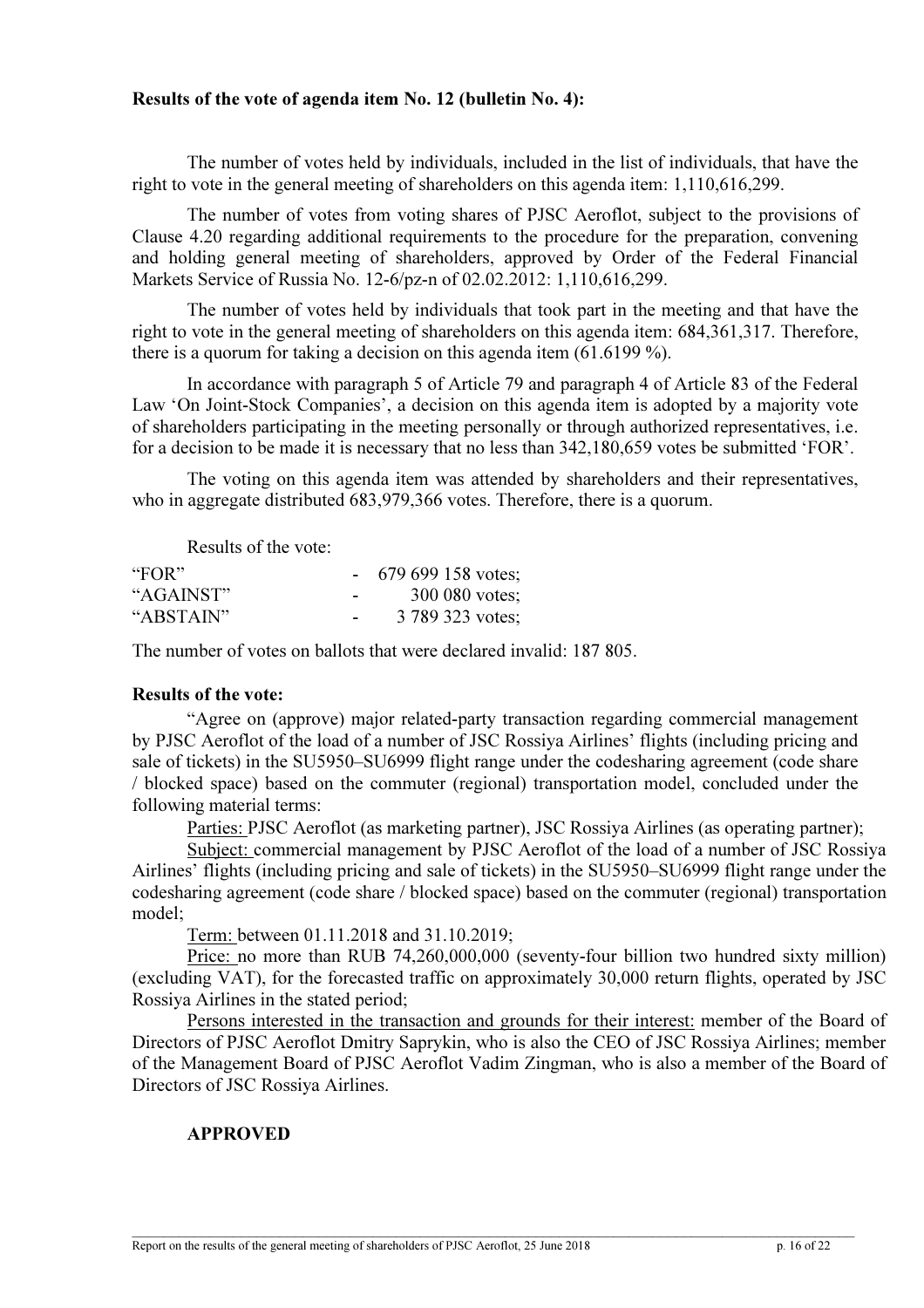### Results of the vote of agenda item No. 12 (bulletin No. 4):

The number of votes held by individuals, included in the list of individuals, that have the right to vote in the general meeting of shareholders on this agenda item: 1,110,616,299.

The number of votes from voting shares of PJSC Aeroflot, subject to the provisions of Clause 4.20 regarding additional requirements to the procedure for the preparation, convening and holding general meeting of shareholders, approved by Order of the Federal Financial Markets Service of Russia No. 12-6/pz-n of 02.02.2012: 1,110,616,299.

The number of votes held by individuals that took part in the meeting and that have the right to vote in the general meeting of shareholders on this agenda item: 684,361,317. Therefore, there is a quorum for taking a decision on this agenda item (61.6199 %).

In accordance with paragraph 5 of Article 79 and paragraph 4 of Article 83 of the Federal Law 'On Joint-Stock Companies', a decision on this agenda item is adopted by a majority vote of shareholders participating in the meeting personally or through authorized representatives, i.e. for a decision to be made it is necessary that no less than 342,180,659 votes be submitted 'FOR'.

The voting on this agenda item was attended by shareholders and their representatives, who in aggregate distributed 683,979,366 votes. Therefore, there is a quorum.

Results of the vote:

| "FOR"     |   | $-679699158$ votes; |
|-----------|---|---------------------|
| "AGAINST" | - | 300 080 votes;      |
| "ABSTAIN" | - | 3 789 323 votes;    |

The number of votes on ballots that were declared invalid: 187 805.

# Results of the vote:

"Agree on (approve) major related-party transaction regarding commercial management by PJSC Aeroflot of the load of a number of JSC Rossiya Airlines' flights (including pricing and sale of tickets) in the SU5950–SU6999 flight range under the codesharing agreement (code share / blocked space) based on the commuter (regional) transportation model, concluded under the following material terms:

Parties: PJSC Aeroflot (as marketing partner), JSC Rossiya Airlines (as operating partner);

Subject: commercial management by PJSC Aeroflot of the load of a number of JSC Rossiya Airlines' flights (including pricing and sale of tickets) in the SU5950–SU6999 flight range under the codesharing agreement (code share / blocked space) based on the commuter (regional) transportation model;

Term: between 01.11.2018 and 31.10.2019;

Price: no more than RUB 74,260,000,000 (seventy-four billion two hundred sixty million) (excluding VAT), for the forecasted traffic on approximately 30,000 return flights, operated by JSC Rossiya Airlines in the stated period;

Persons interested in the transaction and grounds for their interest: member of the Board of Directors of PJSC Aeroflot Dmitry Saprykin, who is also the CEO of JSC Rossiya Airlines; member of the Management Board of PJSC Aeroflot Vadim Zingman, who is also a member of the Board of Directors of JSC Rossiya Airlines.

# APPROVED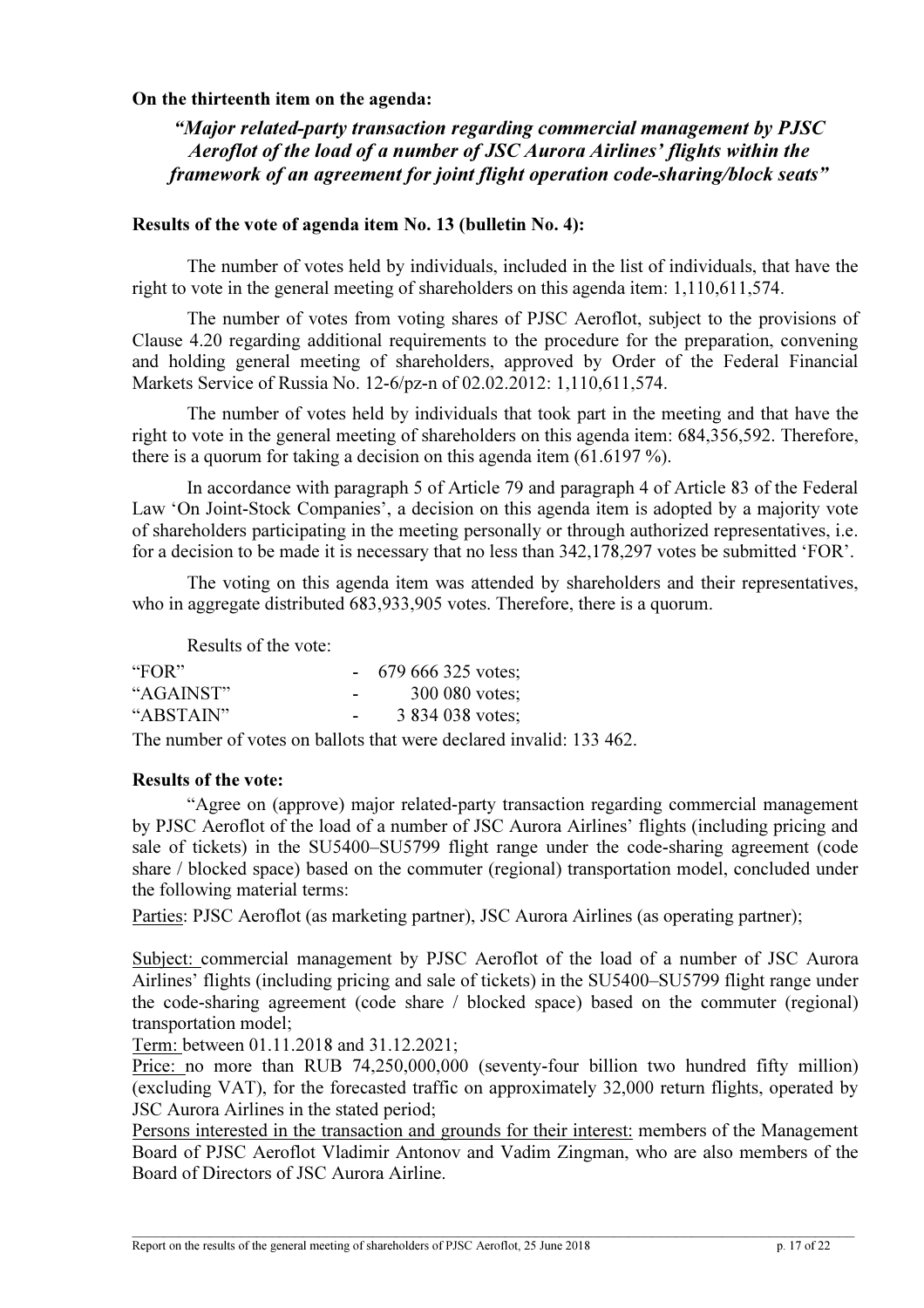# On the thirteenth item on the agenda:

"Major related-party transaction regarding commercial management by PJSC Aeroflot of the load of a number of JSC Aurora Airlines' flights within the framework of an agreement for joint flight operation code-sharing/block seats"

# Results of the vote of agenda item No. 13 (bulletin No. 4):

The number of votes held by individuals, included in the list of individuals, that have the right to vote in the general meeting of shareholders on this agenda item: 1,110,611,574.

The number of votes from voting shares of PJSC Aeroflot, subject to the provisions of Clause 4.20 regarding additional requirements to the procedure for the preparation, convening and holding general meeting of shareholders, approved by Order of the Federal Financial Markets Service of Russia No. 12-6/pz-n of 02.02.2012: 1,110,611,574.

The number of votes held by individuals that took part in the meeting and that have the right to vote in the general meeting of shareholders on this agenda item: 684,356,592. Therefore, there is a quorum for taking a decision on this agenda item (61.6197 %).

In accordance with paragraph 5 of Article 79 and paragraph 4 of Article 83 of the Federal Law 'On Joint-Stock Companies', a decision on this agenda item is adopted by a majority vote of shareholders participating in the meeting personally or through authorized representatives, i.e. for a decision to be made it is necessary that no less than 342,178,297 votes be submitted 'FOR'.

The voting on this agenda item was attended by shareholders and their representatives, who in aggregate distributed 683,933,905 votes. Therefore, there is a quorum.

Results of the vote:

| "FOR"     |                          | 679 666 325 votes; |
|-----------|--------------------------|--------------------|
| "AGAINST" | -                        | 300 080 votes;     |
| "ABSTAIN" | $\overline{\phantom{a}}$ | 3 834 038 votes;   |

The number of votes on ballots that were declared invalid: 133 462.

# Results of the vote:

"Agree on (approve) major related-party transaction regarding commercial management by PJSC Aeroflot of the load of a number of JSC Aurora Airlines' flights (including pricing and sale of tickets) in the SU5400–SU5799 flight range under the code-sharing agreement (code share / blocked space) based on the commuter (regional) transportation model, concluded under the following material terms:

Parties: PJSC Aeroflot (as marketing partner), JSC Aurora Airlines (as operating partner);

Subject: commercial management by PJSC Aeroflot of the load of a number of JSC Aurora Airlines' flights (including pricing and sale of tickets) in the SU5400–SU5799 flight range under the code-sharing agreement (code share / blocked space) based on the commuter (regional) transportation model;

Term: between 01.11.2018 and 31.12.2021;

Price: no more than RUB 74,250,000,000 (seventy-four billion two hundred fifty million) (excluding VAT), for the forecasted traffic on approximately 32,000 return flights, operated by JSC Aurora Airlines in the stated period;

Persons interested in the transaction and grounds for their interest: members of the Management Board of PJSC Aeroflot Vladimir Antonov and Vadim Zingman, who are also members of the Board of Directors of JSC Aurora Airline.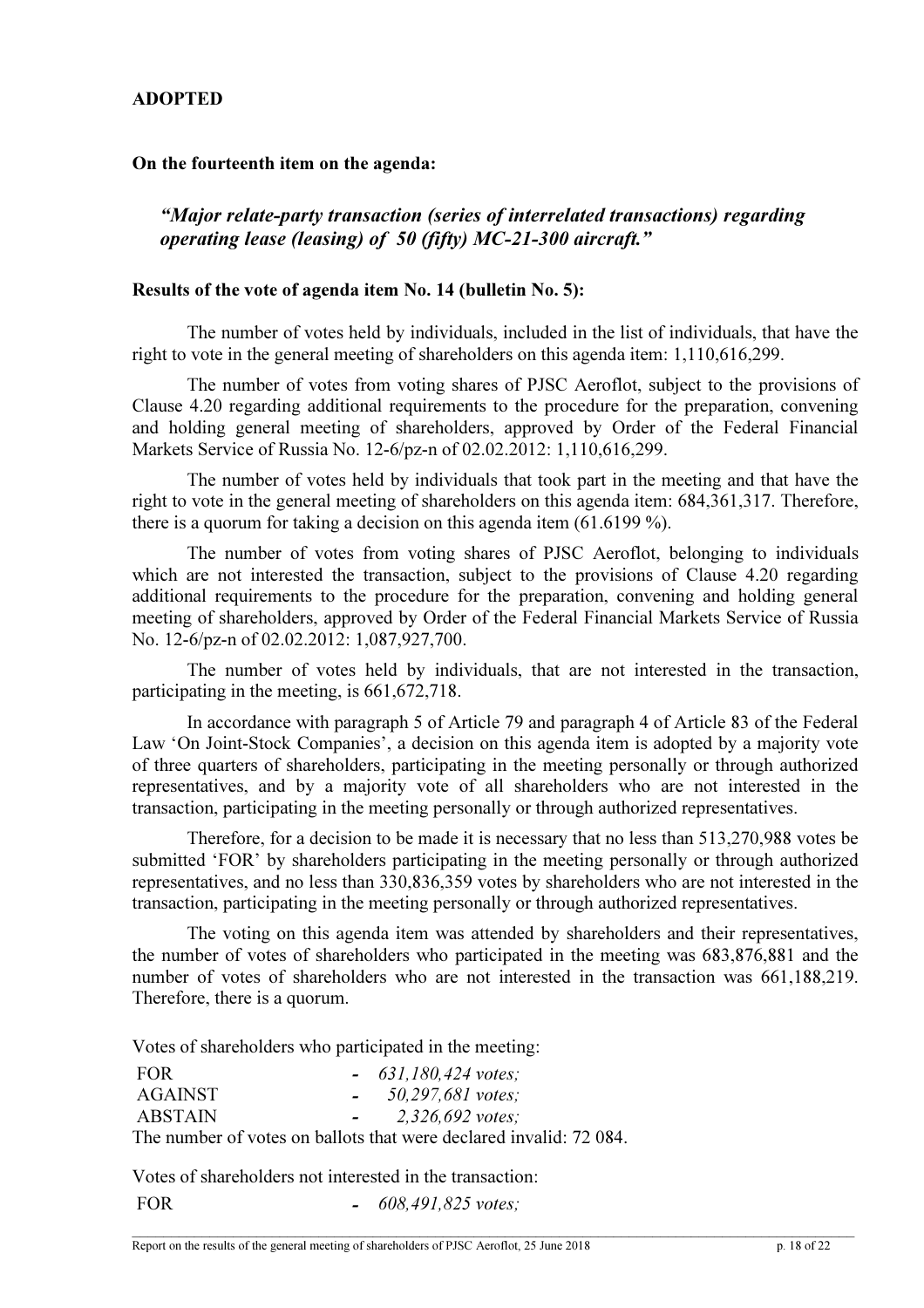# ADOPTED

# On the fourteenth item on the agenda:

# "Major relate-party transaction (series of interrelated transactions) regarding operating lease (leasing) of 50 (fifty) МС-21-300 aircraft."

### Results of the vote of agenda item No. 14 (bulletin No. 5):

The number of votes held by individuals, included in the list of individuals, that have the right to vote in the general meeting of shareholders on this agenda item: 1,110,616,299.

The number of votes from voting shares of PJSC Aeroflot, subject to the provisions of Clause 4.20 regarding additional requirements to the procedure for the preparation, convening and holding general meeting of shareholders, approved by Order of the Federal Financial Markets Service of Russia No. 12-6/pz-n of 02.02.2012: 1,110,616,299.

The number of votes held by individuals that took part in the meeting and that have the right to vote in the general meeting of shareholders on this agenda item: 684,361,317. Therefore, there is a quorum for taking a decision on this agenda item (61.6199 %).

The number of votes from voting shares of PJSC Aeroflot, belonging to individuals which are not interested the transaction, subject to the provisions of Clause 4.20 regarding additional requirements to the procedure for the preparation, convening and holding general meeting of shareholders, approved by Order of the Federal Financial Markets Service of Russia No. 12-6/pz-n of 02.02.2012: 1,087,927,700.

The number of votes held by individuals, that are not interested in the transaction, participating in the meeting, is 661,672,718.

In accordance with paragraph 5 of Article 79 and paragraph 4 of Article 83 of the Federal Law 'On Joint-Stock Companies', a decision on this agenda item is adopted by a majority vote of three quarters of shareholders, participating in the meeting personally or through authorized representatives, and by a majority vote of all shareholders who are not interested in the transaction, participating in the meeting personally or through authorized representatives.

Therefore, for a decision to be made it is necessary that no less than 513,270,988 votes be submitted 'FOR' by shareholders participating in the meeting personally or through authorized representatives, and no less than 330,836,359 votes by shareholders who are not interested in the transaction, participating in the meeting personally or through authorized representatives.

The voting on this agenda item was attended by shareholders and their representatives, the number of votes of shareholders who participated in the meeting was 683,876,881 and the number of votes of shareholders who are not interested in the transaction was 661,188,219. Therefore, there is a quorum.

Votes of shareholders who participated in the meeting:

| <b>FOR</b> |                   | $-631,180,424 \text{ votes};$                                      |
|------------|-------------------|--------------------------------------------------------------------|
| AGAINST    |                   | 50,297,681 votes:                                                  |
| ABSTAIN    | $\sim$ 100 $\sim$ | $2,326,692 \text{ votes}$                                          |
|            |                   | The number of votes on ballots that were declared invalid: 72 084. |

Votes of shareholders not interested in the transaction: FOR  $- 608,491,825 \text{ votes}$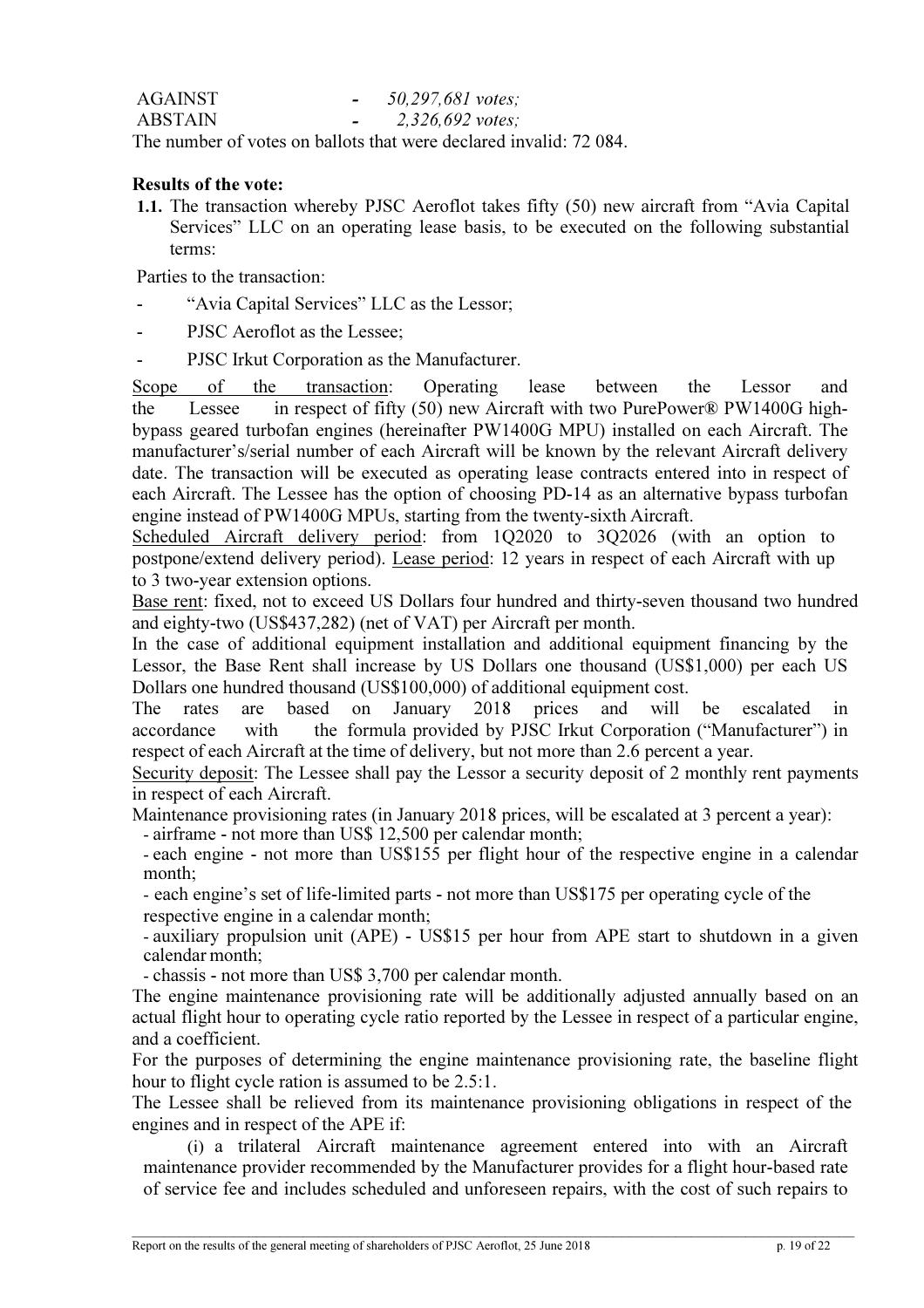| AGAINST        |   | 50,297,681 votes;           |
|----------------|---|-----------------------------|
| <b>ABSTAIN</b> | - | $2,326,692 \text{ votes}$ ; |

The number of votes on ballots that were declared invalid: 72 084.

# Results of the vote:

1.1. The transaction whereby PJSC Aeroflot takes fifty (50) new aircraft from "Avia Capital Services" LLC on an operating lease basis, to be executed on the following substantial terms:

Parties to the transaction:

- "Avia Capital Services" LLC as the Lessor;
- PJSC Aeroflot as the Lessee;
- PJSC Irkut Corporation as the Manufacturer.

Scope of the transaction: Operating lease between the Lessor and the Lessee in respect of fifty (50) new Aircraft with two PurePower® PW1400G highbypass geared turbofan engines (hereinafter PW1400G MPU) installed on each Aircraft. The manufacturer's/serial number of each Aircraft will be known by the relevant Aircraft delivery date. The transaction will be executed as operating lease contracts entered into in respect of each Aircraft. The Lessee has the option of choosing PD-14 as an alternative bypass turbofan engine instead of PW1400G MPUs, starting from the twenty-sixth Aircraft.

Scheduled Aircraft delivery period: from 1Q2020 to 3Q2026 (with an option to postpone/extend delivery period). Lease period: 12 years in respect of each Aircraft with up to 3 two-year extension options.

Base rent: fixed, not to exceed US Dollars four hundred and thirty-seven thousand two hundred and eighty-two (US\$437,282) (net of VAT) per Aircraft per month.

In the case of additional equipment installation and additional equipment financing by the Lessor, the Base Rent shall increase by US Dollars one thousand (US\$1,000) per each US Dollars one hundred thousand (US\$100,000) of additional equipment cost.

The rates are based on January 2018 prices and will be escalated in accordance with the formula provided by PJSC Irkut Corporation ("Manufacturer") in respect of each Aircraft at the time of delivery, but not more than 2.6 percent a year.

Security deposit: The Lessee shall pay the Lessor a security deposit of 2 monthly rent payments in respect of each Aircraft.

Maintenance provisioning rates (in January 2018 prices, will be escalated at 3 percent a year):

- airframe - not more than US\$ 12,500 per calendar month; - each engine - not more than US\$155 per flight hour of the respective engine in a calendar month;

- each engine's set of life-limited parts - not more than US\$175 per operating cycle of the respective engine in a calendar month;

- auxiliary propulsion unit (APE) - US\$15 per hour from APE start to shutdown in a given calendar month;

- chassis - not more than US\$ 3,700 per calendar month.

The engine maintenance provisioning rate will be additionally adjusted annually based on an actual flight hour to operating cycle ratio reported by the Lessee in respect of a particular engine, and a coefficient.

For the purposes of determining the engine maintenance provisioning rate, the baseline flight hour to flight cycle ration is assumed to be 2.5:1.

The Lessee shall be relieved from its maintenance provisioning obligations in respect of the engines and in respect of the APE if:

(i) a trilateral Aircraft maintenance agreement entered into with an Aircraft maintenance provider recommended by the Manufacturer provides for a flight hour-based rate of service fee and includes scheduled and unforeseen repairs, with the cost of such repairs to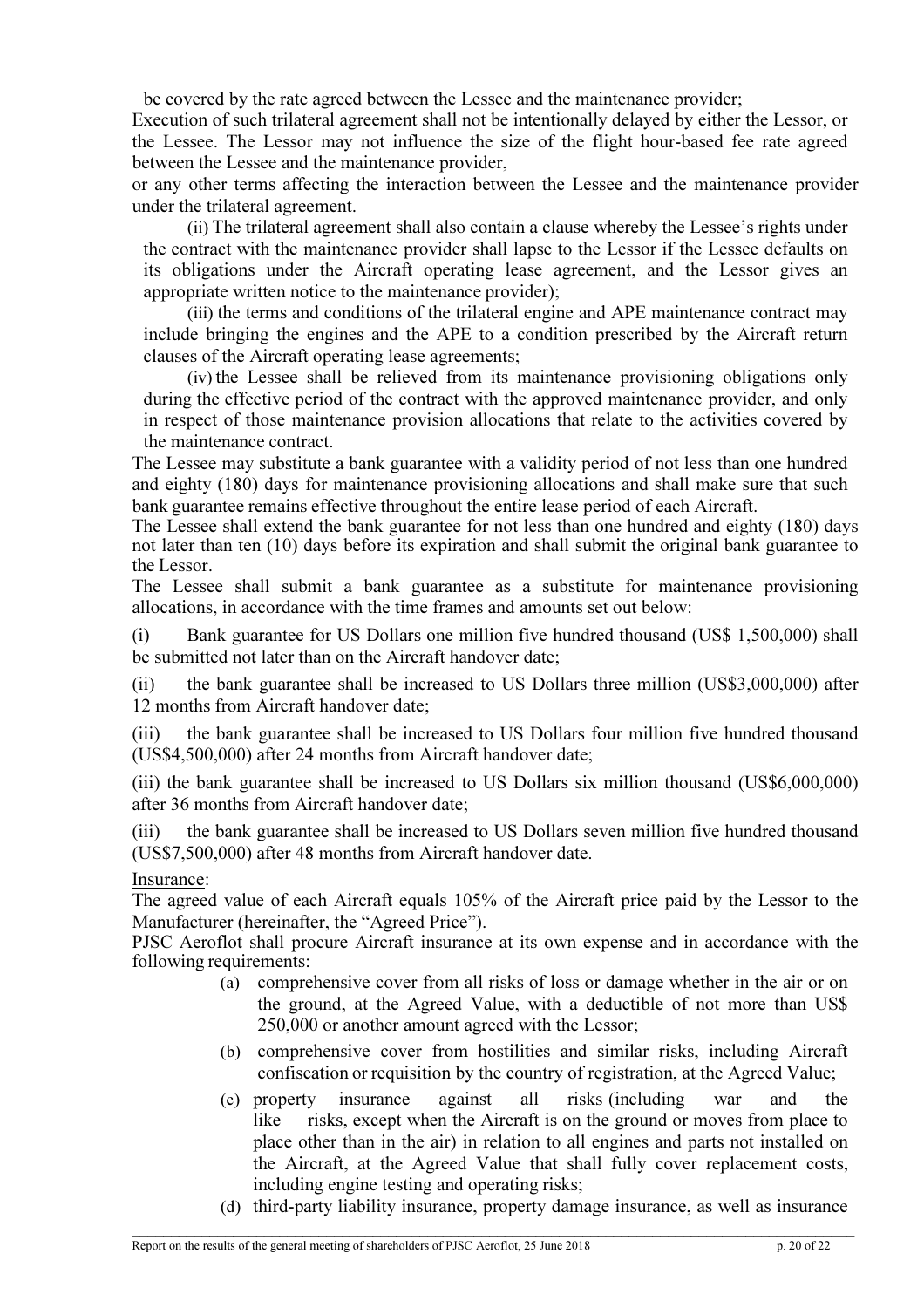be covered by the rate agreed between the Lessee and the maintenance provider;

Execution of such trilateral agreement shall not be intentionally delayed by either the Lessor, or the Lessee. The Lessor may not influence the size of the flight hour-based fee rate agreed between the Lessee and the maintenance provider,

or any other terms affecting the interaction between the Lessee and the maintenance provider under the trilateral agreement.

(ii) The trilateral agreement shall also contain a clause whereby the Lessee's rights under the contract with the maintenance provider shall lapse to the Lessor if the Lessee defaults on its obligations under the Aircraft operating lease agreement, and the Lessor gives an appropriate written notice to the maintenance provider);

(iii) the terms and conditions of the trilateral engine and APE maintenance contract may include bringing the engines and the APE to a condition prescribed by the Aircraft return clauses of the Aircraft operating lease agreements;

(iv) the Lessee shall be relieved from its maintenance provisioning obligations only during the effective period of the contract with the approved maintenance provider, and only in respect of those maintenance provision allocations that relate to the activities covered by the maintenance contract.

The Lessee may substitute a bank guarantee with a validity period of not less than one hundred and eighty (180) days for maintenance provisioning allocations and shall make sure that such bank guarantee remains effective throughout the entire lease period of each Aircraft.

The Lessee shall extend the bank guarantee for not less than one hundred and eighty (180) days not later than ten (10) days before its expiration and shall submit the original bank guarantee to the Lessor.

The Lessee shall submit a bank guarantee as a substitute for maintenance provisioning allocations, in accordance with the time frames and amounts set out below:

(i) Bank guarantee for US Dollars one million five hundred thousand (US\$ 1,500,000) shall be submitted not later than on the Aircraft handover date;

(ii) the bank guarantee shall be increased to US Dollars three million (US\$3,000,000) after 12 months from Aircraft handover date;

(iii) the bank guarantee shall be increased to US Dollars four million five hundred thousand (US\$4,500,000) after 24 months from Aircraft handover date;

(iii) the bank guarantee shall be increased to US Dollars six million thousand (US\$6,000,000) after 36 months from Aircraft handover date;

(iii) the bank guarantee shall be increased to US Dollars seven million five hundred thousand (US\$7,500,000) after 48 months from Aircraft handover date.

Insurance:

The agreed value of each Aircraft equals 105% of the Aircraft price paid by the Lessor to the Manufacturer (hereinafter, the "Agreed Price").

PJSC Aeroflot shall procure Aircraft insurance at its own expense and in accordance with the following requirements:

- (a) comprehensive cover from all risks of loss or damage whether in the air or on the ground, at the Agreed Value, with a deductible of not more than US\$ 250,000 or another amount agreed with the Lessor;
- (b) comprehensive cover from hostilities and similar risks, including Aircraft confiscation or requisition by the country of registration, at the Agreed Value;
- (c) property insurance against all risks (including war and the like risks, except when the Aircraft is on the ground or moves from place to place other than in the air) in relation to all engines and parts not installed on the Aircraft, at the Agreed Value that shall fully cover replacement costs, including engine testing and operating risks;
- (d) third-party liability insurance, property damage insurance, as well as insurance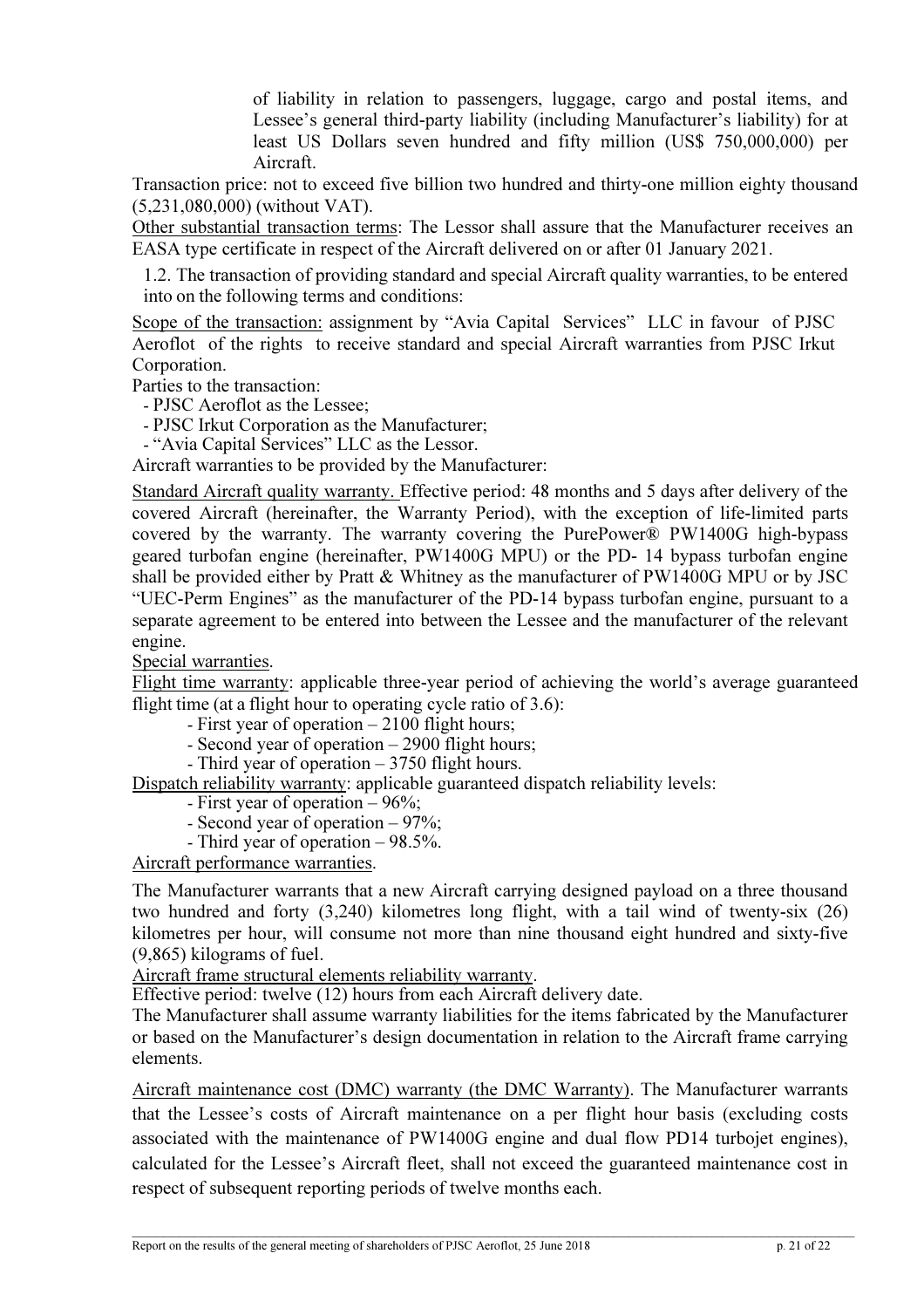of liability in relation to passengers, luggage, cargo and postal items, and Lessee's general third-party liability (including Manufacturer's liability) for at least US Dollars seven hundred and fifty million (US\$ 750,000,000) per Aircraft.

Transaction price: not to exceed five billion two hundred and thirty-one million eighty thousand (5,231,080,000) (without VAT).

Other substantial transaction terms: The Lessor shall assure that the Manufacturer receives an EASA type certificate in respect of the Aircraft delivered on or after 01 January 2021.

1.2. The transaction of providing standard and special Aircraft quality warranties, to be entered into on the following terms and conditions:

Scope of the transaction: assignment by "Avia Capital Services" LLC in favour of PJSC Aeroflot of the rights to receive standard and special Aircraft warranties from PJSC Irkut Corporation.

Parties to the transaction:

- PJSC Aeroflot as the Lessee;

- PJSC Irkut Corporation as the Manufacturer;

- "Avia Capital Services" LLC as the Lessor.

Aircraft warranties to be provided by the Manufacturer:

Standard Aircraft quality warranty. Effective period: 48 months and 5 days after delivery of the covered Aircraft (hereinafter, the Warranty Period), with the exception of life-limited parts covered by the warranty. The warranty covering the PurePower® PW1400G high-bypass geared turbofan engine (hereinafter, PW1400G MPU) or the PD- 14 bypass turbofan engine shall be provided either by Pratt  $&$  Whitney as the manufacturer of PW1400G MPU or by JSC "UEC-Perm Engines" as the manufacturer of the PD-14 bypass turbofan engine, pursuant to a separate agreement to be entered into between the Lessee and the manufacturer of the relevant engine.

Special warranties.

Flight time warranty: applicable three-year period of achieving the world's average guaranteed flight time (at a flight hour to operating cycle ratio of 3.6):

- First year of operation – 2100 flight hours;

- Second year of operation – 2900 flight hours;

- Third year of operation – 3750 flight hours.

Dispatch reliability warranty: applicable guaranteed dispatch reliability levels:

- First year of operation – 96%;

- Second year of operation – 97%;

- Third year of operation – 98.5%.

Aircraft performance warranties.

The Manufacturer warrants that a new Aircraft carrying designed payload on a three thousand two hundred and forty (3,240) kilometres long flight, with a tail wind of twenty-six (26) kilometres per hour, will consume not more than nine thousand eight hundred and sixty-five (9,865) kilograms of fuel.

Aircraft frame structural elements reliability warranty.

Effective period: twelve (12) hours from each Aircraft delivery date.

The Manufacturer shall assume warranty liabilities for the items fabricated by the Manufacturer or based on the Manufacturer's design documentation in relation to the Aircraft frame carrying elements.

Aircraft maintenance cost (DMC) warranty (the DMC Warranty). The Manufacturer warrants that the Lessee's costs of Aircraft maintenance on a per flight hour basis (excluding costs associated with the maintenance of PW1400G engine and dual flow PD14 turbojet engines), calculated for the Lessee's Aircraft fleet, shall not exceed the guaranteed maintenance cost in respect of subsequent reporting periods of twelve months each.